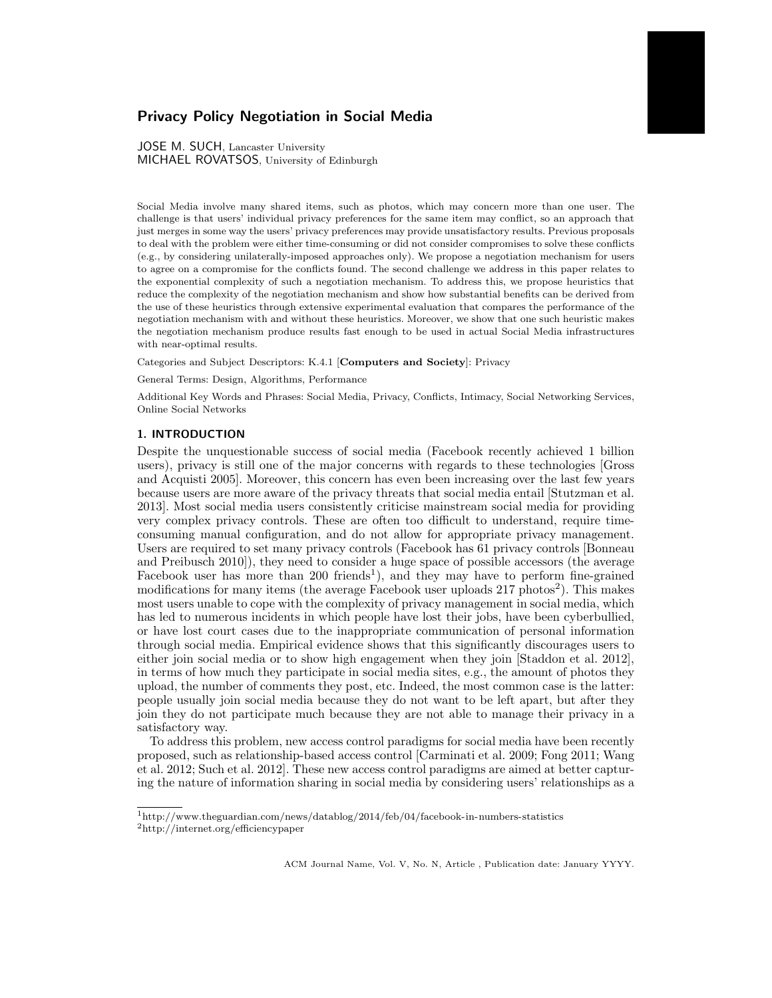# Privacy Policy Negotiation in Social Media

JOSE M. SUCH, Lancaster University MICHAEL ROVATSOS, University of Edinburgh

Social Media involve many shared items, such as photos, which may concern more than one user. The challenge is that users' individual privacy preferences for the same item may conflict, so an approach that just merges in some way the users' privacy preferences may provide unsatisfactory results. Previous proposals to deal with the problem were either time-consuming or did not consider compromises to solve these conflicts (e.g., by considering unilaterally-imposed approaches only). We propose a negotiation mechanism for users to agree on a compromise for the conflicts found. The second challenge we address in this paper relates to the exponential complexity of such a negotiation mechanism. To address this, we propose heuristics that reduce the complexity of the negotiation mechanism and show how substantial benefits can be derived from the use of these heuristics through extensive experimental evaluation that compares the performance of the negotiation mechanism with and without these heuristics. Moreover, we show that one such heuristic makes the negotiation mechanism produce results fast enough to be used in actual Social Media infrastructures with near-optimal results.

Categories and Subject Descriptors: K.4.1 [Computers and Society]: Privacy

General Terms: Design, Algorithms, Performance

Additional Key Words and Phrases: Social Media, Privacy, Conflicts, Intimacy, Social Networking Services, Online Social Networks

# 1. INTRODUCTION

Despite the unquestionable success of social media (Facebook recently achieved 1 billion users), privacy is still one of the major concerns with regards to these technologies [Gross and Acquisti 2005]. Moreover, this concern has even been increasing over the last few years because users are more aware of the privacy threats that social media entail [Stutzman et al. 2013]. Most social media users consistently criticise mainstream social media for providing very complex privacy controls. These are often too difficult to understand, require timeconsuming manual configuration, and do not allow for appropriate privacy management. Users are required to set many privacy controls (Facebook has 61 privacy controls [Bonneau and Preibusch 2010]), they need to consider a huge space of possible accessors (the average Facebook user has more than 200 friends<sup>1</sup>), and they may have to perform fine-grained modifications for many items (the average Facebook user uploads 217 photos<sup>2</sup>). This makes most users unable to cope with the complexity of privacy management in social media, which has led to numerous incidents in which people have lost their jobs, have been cyberbullied, or have lost court cases due to the inappropriate communication of personal information through social media. Empirical evidence shows that this significantly discourages users to either join social media or to show high engagement when they join [Staddon et al. 2012], in terms of how much they participate in social media sites, e.g., the amount of photos they upload, the number of comments they post, etc. Indeed, the most common case is the latter: people usually join social media because they do not want to be left apart, but after they join they do not participate much because they are not able to manage their privacy in a satisfactory way.

To address this problem, new access control paradigms for social media have been recently proposed, such as relationship-based access control [Carminati et al. 2009; Fong 2011; Wang et al. 2012; Such et al. 2012]. These new access control paradigms are aimed at better capturing the nature of information sharing in social media by considering users' relationships as a

 $^1$ http://www.theguardian.com/news/datablog/2014/feb/04/facebook-in-numbers-statistics <sup>2</sup>http://internet.org/efficiencypaper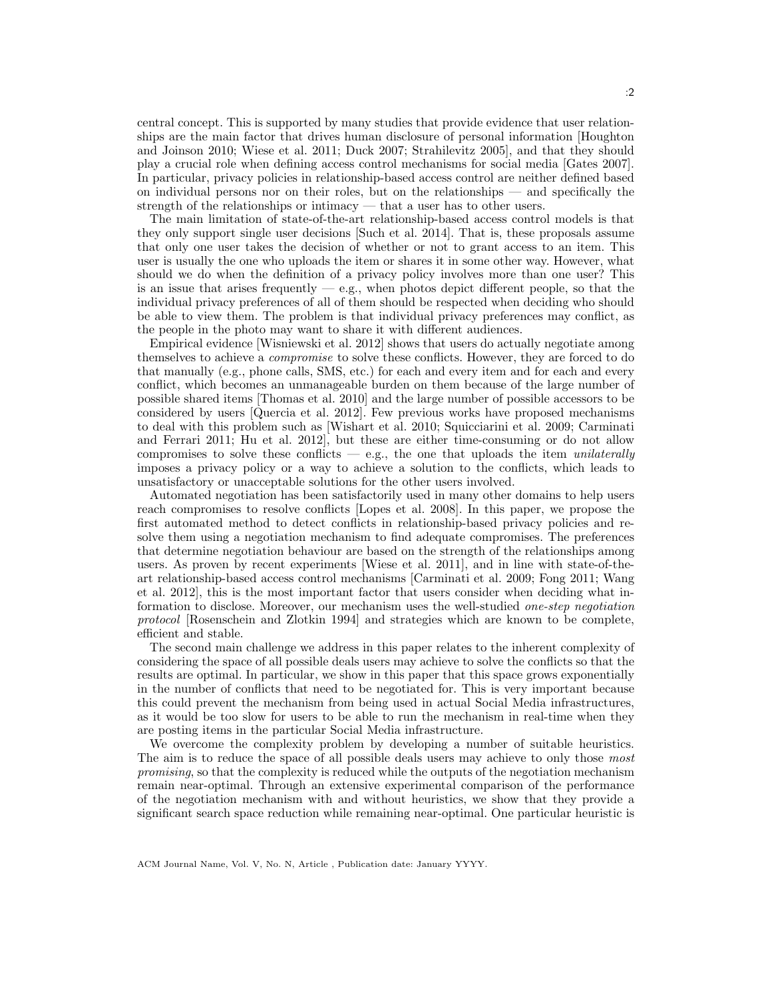central concept. This is supported by many studies that provide evidence that user relationships are the main factor that drives human disclosure of personal information [Houghton and Joinson 2010; Wiese et al. 2011; Duck 2007; Strahilevitz 2005], and that they should play a crucial role when defining access control mechanisms for social media [Gates 2007]. In particular, privacy policies in relationship-based access control are neither defined based on individual persons nor on their roles, but on the relationships — and specifically the strength of the relationships or intimacy — that a user has to other users.

The main limitation of state-of-the-art relationship-based access control models is that they only support single user decisions [Such et al. 2014]. That is, these proposals assume that only one user takes the decision of whether or not to grant access to an item. This user is usually the one who uploads the item or shares it in some other way. However, what should we do when the definition of a privacy policy involves more than one user? This is an issue that arises frequently — e.g., when photos depict different people, so that the individual privacy preferences of all of them should be respected when deciding who should be able to view them. The problem is that individual privacy preferences may conflict, as the people in the photo may want to share it with different audiences.

Empirical evidence [Wisniewski et al. 2012] shows that users do actually negotiate among themselves to achieve a *compromise* to solve these conflicts. However, they are forced to do that manually (e.g., phone calls, SMS, etc.) for each and every item and for each and every conflict, which becomes an unmanageable burden on them because of the large number of possible shared items [Thomas et al. 2010] and the large number of possible accessors to be considered by users [Quercia et al. 2012]. Few previous works have proposed mechanisms to deal with this problem such as [Wishart et al. 2010; Squicciarini et al. 2009; Carminati and Ferrari 2011; Hu et al. 2012], but these are either time-consuming or do not allow compromises to solve these conflicts  $-$  e.g., the one that uploads the item *unilaterally* imposes a privacy policy or a way to achieve a solution to the conflicts, which leads to unsatisfactory or unacceptable solutions for the other users involved.

Automated negotiation has been satisfactorily used in many other domains to help users reach compromises to resolve conflicts [Lopes et al. 2008]. In this paper, we propose the first automated method to detect conflicts in relationship-based privacy policies and resolve them using a negotiation mechanism to find adequate compromises. The preferences that determine negotiation behaviour are based on the strength of the relationships among users. As proven by recent experiments [Wiese et al. 2011], and in line with state-of-theart relationship-based access control mechanisms [Carminati et al. 2009; Fong 2011; Wang et al. 2012], this is the most important factor that users consider when deciding what information to disclose. Moreover, our mechanism uses the well-studied one-step negotiation protocol [Rosenschein and Zlotkin 1994] and strategies which are known to be complete, efficient and stable.

The second main challenge we address in this paper relates to the inherent complexity of considering the space of all possible deals users may achieve to solve the conflicts so that the results are optimal. In particular, we show in this paper that this space grows exponentially in the number of conflicts that need to be negotiated for. This is very important because this could prevent the mechanism from being used in actual Social Media infrastructures, as it would be too slow for users to be able to run the mechanism in real-time when they are posting items in the particular Social Media infrastructure.

We overcome the complexity problem by developing a number of suitable heuristics. The aim is to reduce the space of all possible deals users may achieve to only those most promising, so that the complexity is reduced while the outputs of the negotiation mechanism remain near-optimal. Through an extensive experimental comparison of the performance of the negotiation mechanism with and without heuristics, we show that they provide a significant search space reduction while remaining near-optimal. One particular heuristic is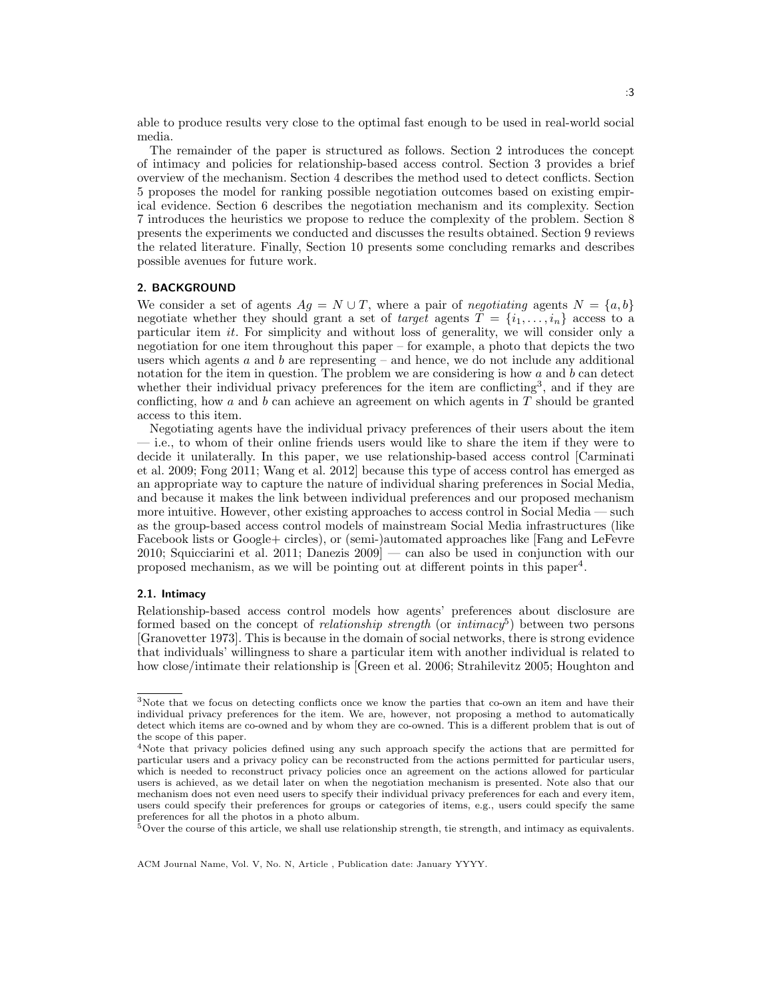able to produce results very close to the optimal fast enough to be used in real-world social media.

The remainder of the paper is structured as follows. Section 2 introduces the concept of intimacy and policies for relationship-based access control. Section 3 provides a brief overview of the mechanism. Section 4 describes the method used to detect conflicts. Section 5 proposes the model for ranking possible negotiation outcomes based on existing empirical evidence. Section 6 describes the negotiation mechanism and its complexity. Section 7 introduces the heuristics we propose to reduce the complexity of the problem. Section 8 presents the experiments we conducted and discusses the results obtained. Section 9 reviews the related literature. Finally, Section 10 presents some concluding remarks and describes possible avenues for future work.

# 2. BACKGROUND

We consider a set of agents  $Ag = N \cup T$ , where a pair of negotiating agents  $N = \{a, b\}$ negotiate whether they should grant a set of *target* agents  $T = \{i_1, \ldots, i_n\}$  access to a particular item it. For simplicity and without loss of generality, we will consider only a negotiation for one item throughout this paper – for example, a photo that depicts the two users which agents  $a$  and  $b$  are representing  $-$  and hence, we do not include any additional notation for the item in question. The problem we are considering is how  $a$  and  $b$  can detect whether their individual privacy preferences for the item are conflicting<sup>3</sup>, and if they are conflicting, how a and b can achieve an agreement on which agents in  $T$  should be granted access to this item.

Negotiating agents have the individual privacy preferences of their users about the item — i.e., to whom of their online friends users would like to share the item if they were to decide it unilaterally. In this paper, we use relationship-based access control [Carminati et al. 2009; Fong 2011; Wang et al. 2012] because this type of access control has emerged as an appropriate way to capture the nature of individual sharing preferences in Social Media, and because it makes the link between individual preferences and our proposed mechanism more intuitive. However, other existing approaches to access control in Social Media — such as the group-based access control models of mainstream Social Media infrastructures (like Facebook lists or Google+ circles), or (semi-)automated approaches like [Fang and LeFevre 2010; Squicciarini et al. 2011; Danezis 2009] — can also be used in conjunction with our proposed mechanism, as we will be pointing out at different points in this paper<sup>4</sup>.

#### 2.1. Intimacy

Relationship-based access control models how agents' preferences about disclosure are formed based on the concept of *relationship strength* (or *intimacy*<sup>5</sup>) between two persons [Granovetter 1973]. This is because in the domain of social networks, there is strong evidence that individuals' willingness to share a particular item with another individual is related to how close/intimate their relationship is [Green et al. 2006; Strahilevitz 2005; Houghton and

<sup>3</sup>Note that we focus on detecting conflicts once we know the parties that co-own an item and have their individual privacy preferences for the item. We are, however, not proposing a method to automatically detect which items are co-owned and by whom they are co-owned. This is a different problem that is out of the scope of this paper.

<sup>4</sup>Note that privacy policies defined using any such approach specify the actions that are permitted for particular users and a privacy policy can be reconstructed from the actions permitted for particular users, which is needed to reconstruct privacy policies once an agreement on the actions allowed for particular users is achieved, as we detail later on when the negotiation mechanism is presented. Note also that our mechanism does not even need users to specify their individual privacy preferences for each and every item, users could specify their preferences for groups or categories of items, e.g., users could specify the same preferences for all the photos in a photo album.

<sup>5</sup>Over the course of this article, we shall use relationship strength, tie strength, and intimacy as equivalents.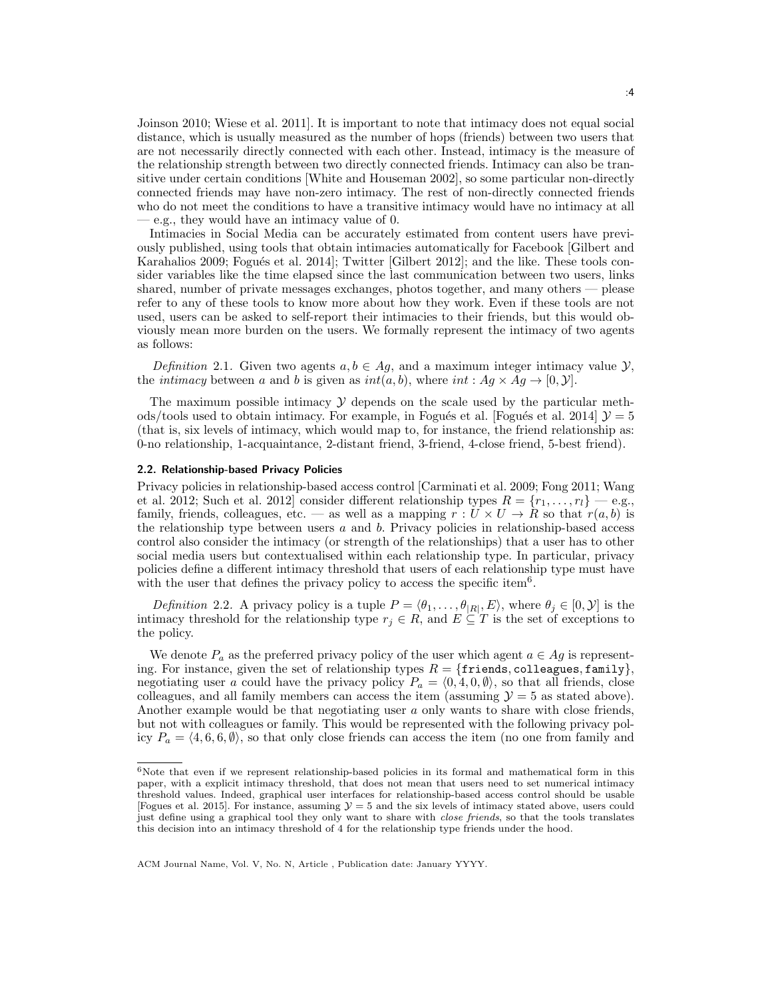Joinson 2010; Wiese et al. 2011]. It is important to note that intimacy does not equal social distance, which is usually measured as the number of hops (friends) between two users that are not necessarily directly connected with each other. Instead, intimacy is the measure of the relationship strength between two directly connected friends. Intimacy can also be transitive under certain conditions [White and Houseman 2002], so some particular non-directly connected friends may have non-zero intimacy. The rest of non-directly connected friends who do not meet the conditions to have a transitive intimacy would have no intimacy at all — e.g., they would have an intimacy value of 0.

Intimacies in Social Media can be accurately estimated from content users have previously published, using tools that obtain intimacies automatically for Facebook [Gilbert and Karahalios 2009; Fogués et al. 2014]; Twitter [Gilbert 2012]; and the like. These tools consider variables like the time elapsed since the last communication between two users, links shared, number of private messages exchanges, photos together, and many others — please refer to any of these tools to know more about how they work. Even if these tools are not used, users can be asked to self-report their intimacies to their friends, but this would obviously mean more burden on the users. We formally represent the intimacy of two agents as follows:

Definition 2.1. Given two agents  $a, b \in Ag$ , and a maximum integer intimacy value  $\mathcal{Y}$ , the *intimacy* between a and b is given as  $int(a, b)$ , where  $int : Ag \times Ag \rightarrow [0, \mathcal{Y}]$ .

The maximum possible intimacy  $\mathcal Y$  depends on the scale used by the particular methods/tools used to obtain intimacy. For example, in Fogués et al. [Fogués et al. 2014]  $\mathcal{Y} = 5$ (that is, six levels of intimacy, which would map to, for instance, the friend relationship as: 0-no relationship, 1-acquaintance, 2-distant friend, 3-friend, 4-close friend, 5-best friend).

### 2.2. Relationship-based Privacy Policies

Privacy policies in relationship-based access control [Carminati et al. 2009; Fong 2011; Wang et al. 2012; Such et al. 2012] consider different relationship types  $R = \{r_1, \ldots, r_l\}$  — e.g., family, friends, colleagues, etc. — as well as a mapping  $r: U \times U \to \overline{R}$  so that  $r(a, b)$  is the relationship type between users  $a$  and  $b$ . Privacy policies in relationship-based access control also consider the intimacy (or strength of the relationships) that a user has to other social media users but contextualised within each relationship type. In particular, privacy policies define a different intimacy threshold that users of each relationship type must have with the user that defines the privacy policy to access the specific item<sup>6</sup>.

*Definition* 2.2. A privacy policy is a tuple  $P = \langle \theta_1, \dots, \theta_{|R|}, E \rangle$ , where  $\theta_j \in [0, \mathcal{Y}]$  is the intimacy threshold for the relationship type  $r_j \in R$ , and  $E \subseteq T$  is the set of exceptions to the policy.

We denote  $P_a$  as the preferred privacy policy of the user which agent  $a \in Ag$  is representing. For instance, given the set of relationship types  $R = \{$  friends, colleagues, family $\},$ negotiating user a could have the privacy policy  $P_a = \langle 0, 4, 0, \emptyset \rangle$ , so that all friends, close colleagues, and all family members can access the item (assuming  $\mathcal{Y} = 5$  as stated above). Another example would be that negotiating user a only wants to share with close friends, but not with colleagues or family. This would be represented with the following privacy policy  $P_a = \langle 4, 6, 6, \emptyset \rangle$ , so that only close friends can access the item (no one from family and

<sup>&</sup>lt;sup>6</sup>Note that even if we represent relationship-based policies in its formal and mathematical form in this paper, with a explicit intimacy threshold, that does not mean that users need to set numerical intimacy threshold values. Indeed, graphical user interfaces for relationship-based access control should be usable [Fogues et al. 2015]. For instance, assuming  $\mathcal{Y} = 5$  and the six levels of intimacy stated above, users could just define using a graphical tool they only want to share with close friends, so that the tools translates this decision into an intimacy threshold of 4 for the relationship type friends under the hood.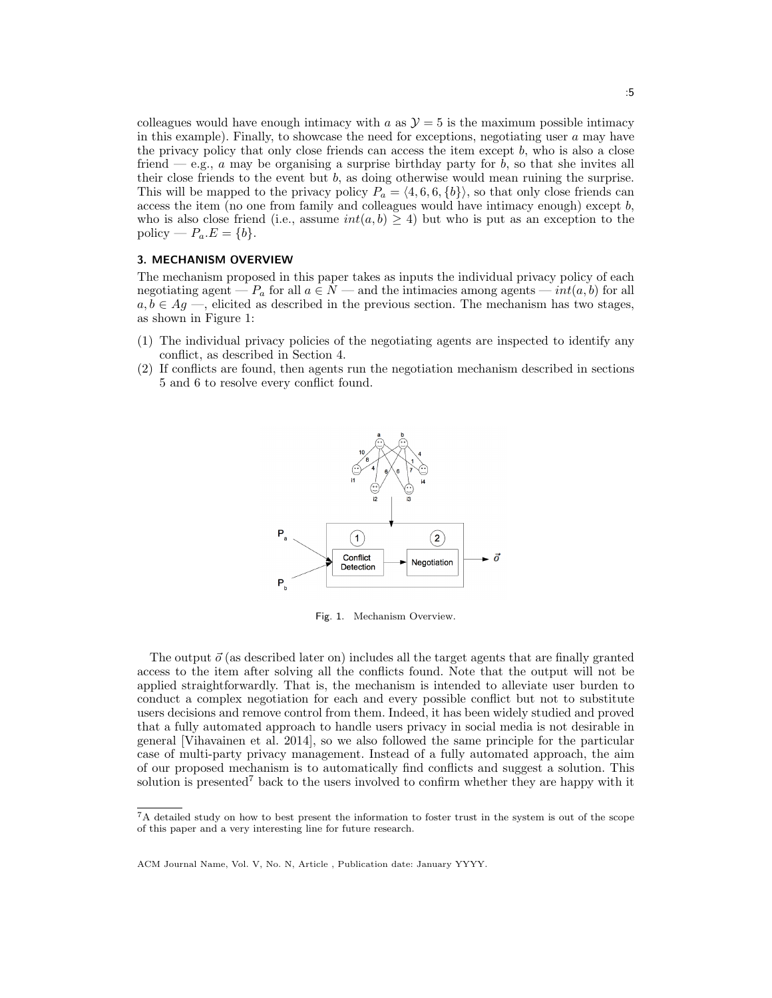colleagues would have enough intimacy with a as  $\mathcal{Y} = 5$  is the maximum possible intimacy in this example). Finally, to showcase the need for exceptions, negotiating user a may have the privacy policy that only close friends can access the item except b, who is also a close friend — e.g.,  $a$  may be organising a surprise birthday party for  $b$ , so that she invites all their close friends to the event but  $b$ , as doing otherwise would mean ruining the surprise. This will be mapped to the privacy policy  $P_a = \langle 4, 6, 6, \{b\} \rangle$ , so that only close friends can access the item (no one from family and colleagues would have intimacy enough) except  $b$ , who is also close friend (i.e., assume  $int(a, b) \ge 4$ ) but who is put as an exception to the policy —  $P_a.E = \{b\}.$ 

### 3. MECHANISM OVERVIEW

The mechanism proposed in this paper takes as inputs the individual privacy policy of each negotiating agent —  $P_a$  for all  $a \in N$  — and the intimacies among agents —  $int(a, b)$  for all  $a, b \in Ag \longrightarrow$ , elicited as described in the previous section. The mechanism has two stages, as shown in Figure 1:

- (1) The individual privacy policies of the negotiating agents are inspected to identify any conflict, as described in Section 4.
- (2) If conflicts are found, then agents run the negotiation mechanism described in sections 5 and 6 to resolve every conflict found.



Fig. 1. Mechanism Overview.

The output  $\vec{o}$  (as described later on) includes all the target agents that are finally granted access to the item after solving all the conflicts found. Note that the output will not be applied straightforwardly. That is, the mechanism is intended to alleviate user burden to conduct a complex negotiation for each and every possible conflict but not to substitute users decisions and remove control from them. Indeed, it has been widely studied and proved that a fully automated approach to handle users privacy in social media is not desirable in general [Vihavainen et al. 2014], so we also followed the same principle for the particular case of multi-party privacy management. Instead of a fully automated approach, the aim of our proposed mechanism is to automatically find conflicts and suggest a solution. This solution is presented<sup>7</sup> back to the users involved to confirm whether they are happy with it

<sup>7</sup>A detailed study on how to best present the information to foster trust in the system is out of the scope of this paper and a very interesting line for future research.

ACM Journal Name, Vol. V, No. N, Article , Publication date: January YYYY.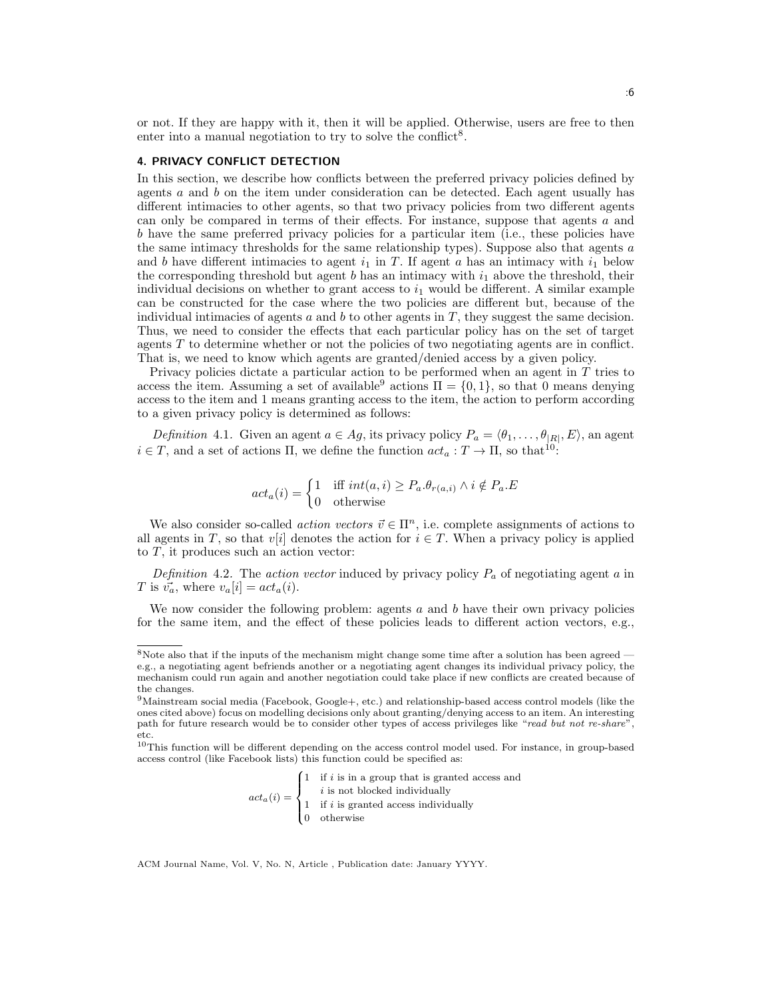or not. If they are happy with it, then it will be applied. Otherwise, users are free to then enter into a manual negotiation to try to solve the conflict<sup>8</sup>.

#### 4. PRIVACY CONFLICT DETECTION

In this section, we describe how conflicts between the preferred privacy policies defined by agents a and b on the item under consideration can be detected. Each agent usually has different intimacies to other agents, so that two privacy policies from two different agents can only be compared in terms of their effects. For instance, suppose that agents a and b have the same preferred privacy policies for a particular item (i.e., these policies have the same intimacy thresholds for the same relationship types). Suppose also that agents  $a$ and b have different intimacies to agent  $i_1$  in T. If agent a has an intimacy with  $i_1$  below the corresponding threshold but agent  $b$  has an intimacy with  $i_1$  above the threshold, their individual decisions on whether to grant access to  $i_1$  would be different. A similar example can be constructed for the case where the two policies are different but, because of the individual intimacies of agents  $a$  and  $b$  to other agents in  $T$ , they suggest the same decision. Thus, we need to consider the effects that each particular policy has on the set of target agents T to determine whether or not the policies of two negotiating agents are in conflict. That is, we need to know which agents are granted/denied access by a given policy.

Privacy policies dictate a particular action to be performed when an agent in  $T$  tries to access the item. Assuming a set of available<sup>9</sup> actions  $\Pi = \{0, 1\}$ , so that 0 means denying access to the item and 1 means granting access to the item, the action to perform according to a given privacy policy is determined as follows:

*Definition* 4.1. Given an agent  $a \in Ag$ , its privacy policy  $P_a = \langle \theta_1, \ldots, \theta_{|R|}, E \rangle$ , an agent  $i \in T$ , and a set of actions  $\Pi$ , we define the function  $act_a: T \to \Pi$ , so that<sup>10</sup>:

$$
act_a(i) = \begin{cases} 1 & \text{iff } int(a, i) \ge P_a \cdot \theta_{r(a, i)} \land i \notin P_a \cdot E \\ 0 & \text{otherwise} \end{cases}
$$

We also consider so-called *action vectors*  $\vec{v} \in \Pi^n$ , i.e. complete assignments of actions to all agents in T, so that v[i] denotes the action for  $i \in T$ . When a privacy policy is applied to  $T$ , it produces such an action vector:

Definition 4.2. The action vector induced by privacy policy  $P_a$  of negotiating agent a in T is  $\vec{v_a}$ , where  $v_a[i] = act_a(i)$ .

We now consider the following problem: agents  $a$  and  $b$  have their own privacy policies for the same item, and the effect of these policies leads to different action vectors, e.g.,

$$
act_a(i) = \begin{cases} 1 & \text{if } i \text{ is in a group that is granted access and} \\ & i \text{ is not blocked individually} \\ 1 & \text{if } i \text{ is granted access individually} \\ 0 & \text{otherwise} \end{cases}
$$

 $8$ Note also that if the inputs of the mechanism might change some time after a solution has been agreed e.g., a negotiating agent befriends another or a negotiating agent changes its individual privacy policy, the mechanism could run again and another negotiation could take place if new conflicts are created because of the changes.

<sup>9</sup>Mainstream social media (Facebook, Google+, etc.) and relationship-based access control models (like the ones cited above) focus on modelling decisions only about granting/denying access to an item. An interesting path for future research would be to consider other types of access privileges like "read but not re-share" etc.

 $10$ This function will be different depending on the access control model used. For instance, in group-based access control (like Facebook lists) this function could be specified as: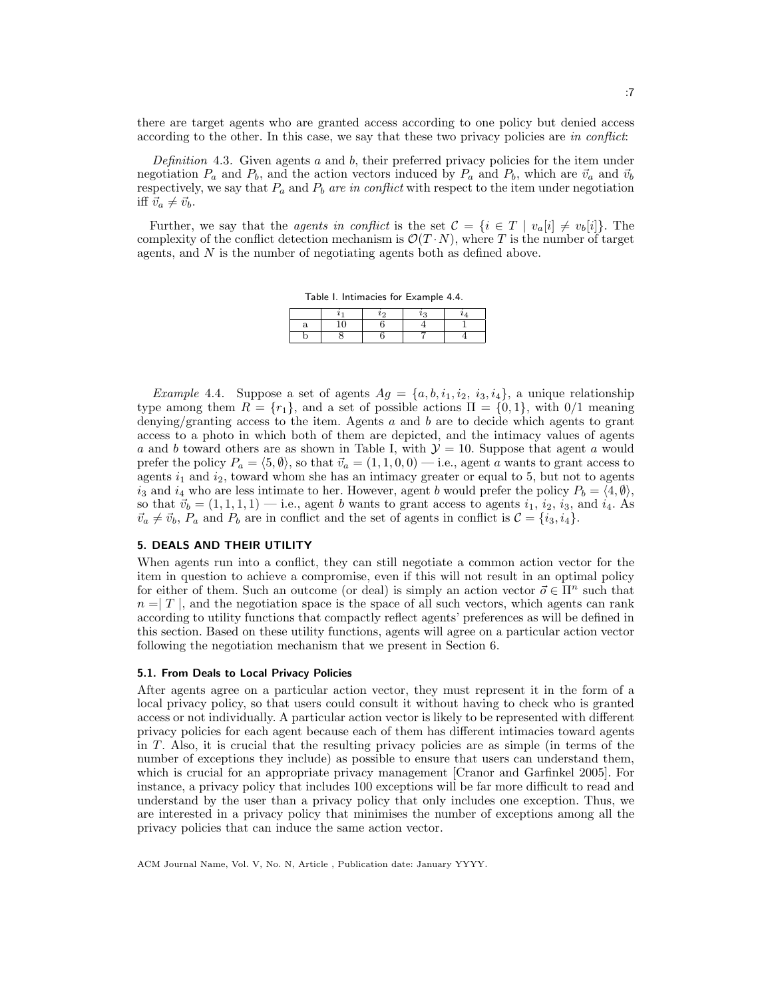there are target agents who are granted access according to one policy but denied access according to the other. In this case, we say that these two privacy policies are in conflict:

Definition 4.3. Given agents  $a$  and  $b$ , their preferred privacy policies for the item under negotiation  $P_a$  and  $P_b$ , and the action vectors induced by  $P_a$  and  $P_b$ , which are  $\vec{v}_a$  and  $\vec{v}_b$ respectively, we say that  $P_a$  and  $P_b$  are in conflict with respect to the item under negotiation iff  $\vec{v}_a \neq \vec{v}_b$ .

Further, we say that the *agents in conflict* is the set  $\mathcal{C} = \{i \in T \mid v_a[i] \neq v_b[i]\}.$  The complexity of the conflict detection mechanism is  $\mathcal{O}(T \cdot N)$ , where T is the number of target agents, and N is the number of negotiating agents both as defined above.

Table I. Intimacies for Example 4.4.

*Example 4.4.* Suppose a set of agents  $Ag = \{a, b, i_1, i_2, i_3, i_4\}$ , a unique relationship type among them  $R = \{r_1\}$ , and a set of possible actions  $\Pi = \{0, 1\}$ , with  $0/1$  meaning denying/granting access to the item. Agents  $a$  and  $b$  are to decide which agents to grant access to a photo in which both of them are depicted, and the intimacy values of agents a and b toward others are as shown in Table I, with  $\mathcal{Y} = 10$ . Suppose that agent a would prefer the policy  $P_a = \langle 5, \emptyset \rangle$ , so that  $\vec{v}_a = (1, 1, 0, 0)$  — i.e., agent a wants to grant access to agents  $i_1$  and  $i_2$ , toward whom she has an intimacy greater or equal to 5, but not to agents  $i_3$  and  $i_4$  who are less intimate to her. However, agent b would prefer the policy  $P_b = \langle 4, \emptyset \rangle$ , so that  $\vec{v}_b = (1, 1, 1, 1)$  — i.e., agent b wants to grant access to agents  $i_1, i_2, i_3$ , and  $i_4$ . As  $\vec{v}_a \neq \vec{v}_b$ ,  $P_a$  and  $P_b$  are in conflict and the set of agents in conflict is  $\mathcal{C} = \{i_3, i_4\}.$ 

# 5. DEALS AND THEIR UTILITY

When agents run into a conflict, they can still negotiate a common action vector for the item in question to achieve a compromise, even if this will not result in an optimal policy for either of them. Such an outcome (or deal) is simply an action vector  $\vec{o} \in \Pi^n$  such that  $n = T$ , and the negotiation space is the space of all such vectors, which agents can rank according to utility functions that compactly reflect agents' preferences as will be defined in this section. Based on these utility functions, agents will agree on a particular action vector following the negotiation mechanism that we present in Section 6.

# 5.1. From Deals to Local Privacy Policies

After agents agree on a particular action vector, they must represent it in the form of a local privacy policy, so that users could consult it without having to check who is granted access or not individually. A particular action vector is likely to be represented with different privacy policies for each agent because each of them has different intimacies toward agents in T. Also, it is crucial that the resulting privacy policies are as simple (in terms of the number of exceptions they include) as possible to ensure that users can understand them, which is crucial for an appropriate privacy management [Cranor and Garfinkel 2005]. For instance, a privacy policy that includes 100 exceptions will be far more difficult to read and understand by the user than a privacy policy that only includes one exception. Thus, we are interested in a privacy policy that minimises the number of exceptions among all the privacy policies that can induce the same action vector.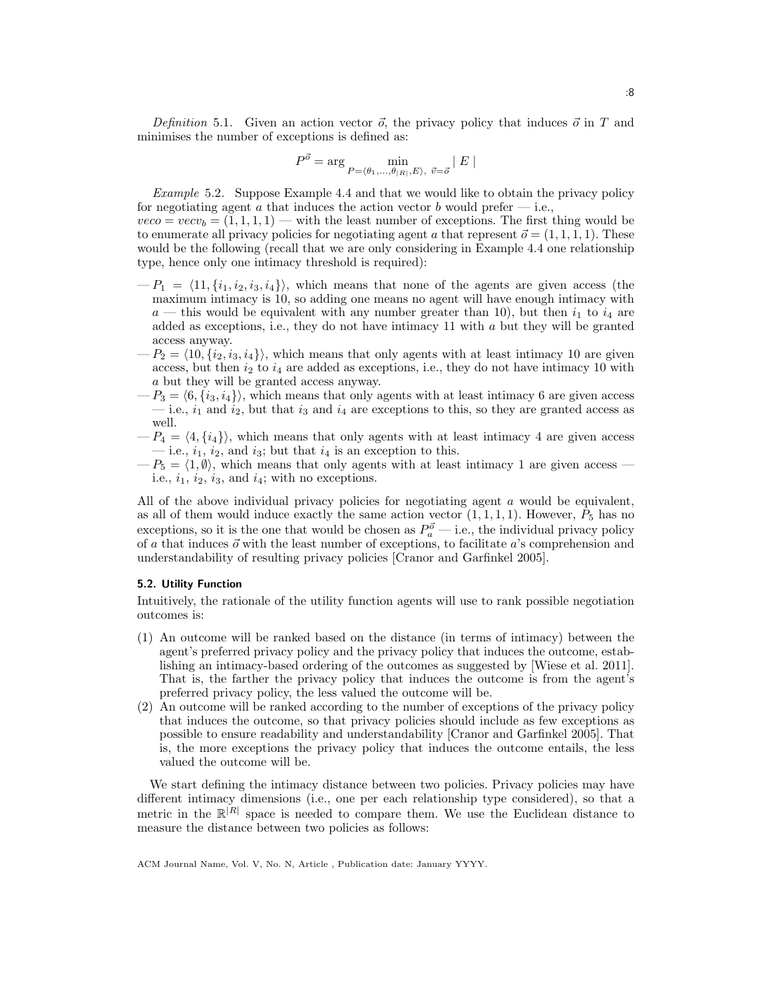Definition 5.1. Given an action vector  $\vec{o}$ , the privacy policy that induces  $\vec{o}$  in T and minimises the number of exceptions is defined as:

$$
P^{\vec{\sigma}} = \arg \min_{P = \langle \theta_1, \dots, \theta_{|R|}, E \rangle, \ \vec{v} = \vec{\sigma}} |E|
$$

Example 5.2. Suppose Example 4.4 and that we would like to obtain the privacy policy for negotiating agent a that induces the action vector b would prefer  $-$  i.e.,  $veco = vecv_b = (1, 1, 1, 1)$  — with the least number of exceptions. The first thing would be to enumerate all privacy policies for negotiating agent a that represent  $\vec{o} = (1, 1, 1, 1)$ . These would be the following (recall that we are only considering in Example 4.4 one relationship

- type, hence only one intimacy threshold is required):  $-P_1 = \langle 11, \{i_1, i_2, i_3, i_4\}\rangle$ , which means that none of the agents are given access (the
- maximum intimacy is 10, so adding one means no agent will have enough intimacy with  $a$  — this would be equivalent with any number greater than 10), but then  $i_1$  to  $i_4$  are added as exceptions, i.e., they do not have intimacy 11 with a but they will be granted access anyway.
- $-P_2 = \langle 10, {i_2, i_3, i_4}\rangle$ , which means that only agents with at least intimacy 10 are given access, but then  $i_2$  to  $i_4$  are added as exceptions, i.e., they do not have intimacy 10 with a but they will be granted access anyway.
- $-P_3 = \langle 6, \{i_3, i_4\} \rangle$ , which means that only agents with at least intimacy 6 are given access — i.e.,  $i_1$  and  $i_2$ , but that  $i_3$  and  $i_4$  are exceptions to this, so they are granted access as well.
- $-P_4 = \langle 4, \{i_4\} \rangle$ , which means that only agents with at least intimacy 4 are given access — i.e.,  $i_1$ ,  $i_2$ , and  $i_3$ ; but that  $i_4$  is an exception to this.
- $-P_5 = \langle 1, \emptyset \rangle$ , which means that only agents with at least intimacy 1 are given access i.e.,  $i_1$ ,  $i_2$ ,  $i_3$ , and  $i_4$ ; with no exceptions.

All of the above individual privacy policies for negotiating agent a would be equivalent, as all of them would induce exactly the same action vector  $(1, 1, 1, 1)$ . However,  $P_5$  has no exceptions, so it is the one that would be chosen as  $P_a^{\vec{\sigma}}$  — i.e., the individual privacy policy of a that induces  $\vec{o}$  with the least number of exceptions, to facilitate a's comprehension and understandability of resulting privacy policies [Cranor and Garfinkel 2005].

#### 5.2. Utility Function

Intuitively, the rationale of the utility function agents will use to rank possible negotiation outcomes is:

- (1) An outcome will be ranked based on the distance (in terms of intimacy) between the agent's preferred privacy policy and the privacy policy that induces the outcome, establishing an intimacy-based ordering of the outcomes as suggested by [Wiese et al. 2011]. That is, the farther the privacy policy that induces the outcome is from the agent's preferred privacy policy, the less valued the outcome will be.
- (2) An outcome will be ranked according to the number of exceptions of the privacy policy that induces the outcome, so that privacy policies should include as few exceptions as possible to ensure readability and understandability [Cranor and Garfinkel 2005]. That is, the more exceptions the privacy policy that induces the outcome entails, the less valued the outcome will be.

We start defining the intimacy distance between two policies. Privacy policies may have different intimacy dimensions (i.e., one per each relationship type considered), so that a metric in the  $\mathbb{R}^{|R|}$  space is needed to compare them. We use the Euclidean distance to measure the distance between two policies as follows: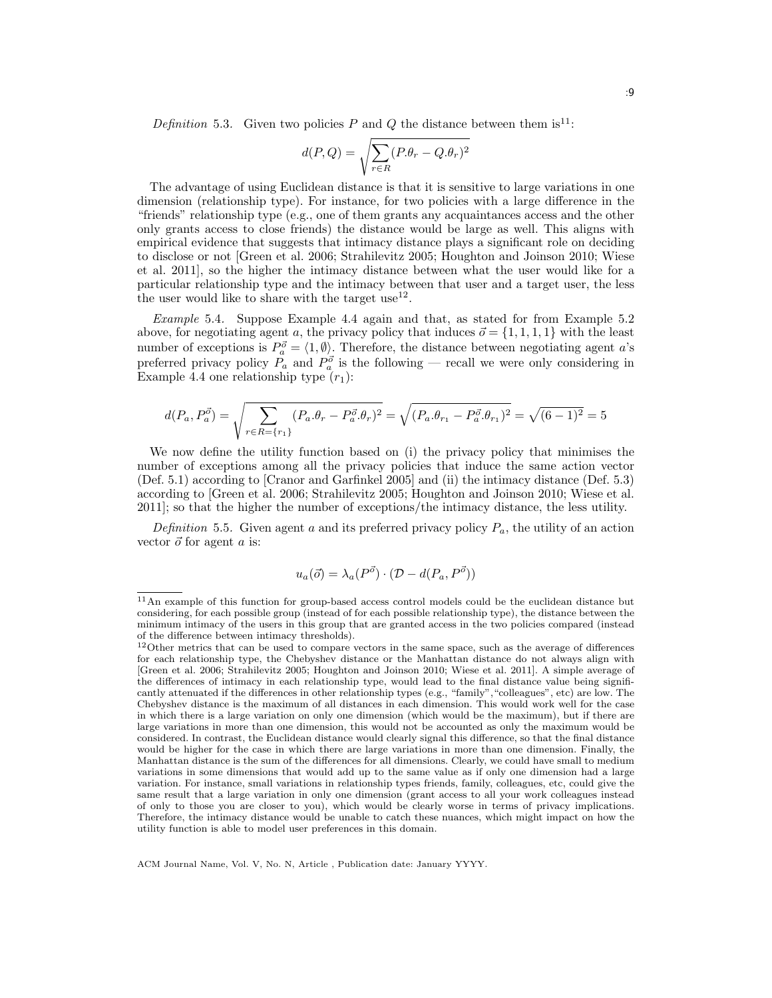Definition 5.3. Given two policies P and Q the distance between them is<sup>11</sup>:

$$
d(P,Q) = \sqrt{\sum_{r \in R} (P.\theta_r - Q.\theta_r)^2}
$$

The advantage of using Euclidean distance is that it is sensitive to large variations in one dimension (relationship type). For instance, for two policies with a large difference in the "friends" relationship type (e.g., one of them grants any acquaintances access and the other only grants access to close friends) the distance would be large as well. This aligns with empirical evidence that suggests that intimacy distance plays a significant role on deciding to disclose or not [Green et al. 2006; Strahilevitz 2005; Houghton and Joinson 2010; Wiese et al. 2011], so the higher the intimacy distance between what the user would like for a particular relationship type and the intimacy between that user and a target user, the less the user would like to share with the target use<sup>12</sup>.

Example 5.4. Suppose Example 4.4 again and that, as stated for from Example 5.2 above, for negotiating agent a, the privacy policy that induces  $\vec{o} = \{1, 1, 1, 1\}$  with the least number of exceptions is  $P_a^{\vec{\sigma}} = \langle 1, \emptyset \rangle$ . Therefore, the distance between negotiating agent a's preferred privacy policy  $P_a$  and  $P_a^{\vec{\sigma}}$  is the following — recall we were only considering in Example 4.4 one relationship type  $(r_1)$ :

$$
d(P_a, P_a^{\vec{\sigma}}) = \sqrt{\sum_{r \in R = \{r_1\}} (P_a \cdot \theta_r - P_a^{\vec{\sigma}} \cdot \theta_r)^2} = \sqrt{(P_a \cdot \theta_{r_1} - P_a^{\vec{\sigma}} \cdot \theta_{r_1})^2} = \sqrt{(6-1)^2} = 5
$$

We now define the utility function based on (i) the privacy policy that minimises the number of exceptions among all the privacy policies that induce the same action vector (Def. 5.1) according to [Cranor and Garfinkel 2005] and (ii) the intimacy distance (Def. 5.3) according to [Green et al. 2006; Strahilevitz 2005; Houghton and Joinson 2010; Wiese et al. 2011]; so that the higher the number of exceptions/the intimacy distance, the less utility.

Definition 5.5. Given agent a and its preferred privacy policy  $P_a$ , the utility of an action vector  $\vec{o}$  for agent a is:

$$
u_a(\vec{o}) = \lambda_a(P^{\vec{o}}) \cdot (\mathcal{D} - d(P_a, P^{\vec{o}}))
$$

<sup>&</sup>lt;sup>11</sup>An example of this function for group-based access control models could be the euclidean distance but considering, for each possible group (instead of for each possible relationship type), the distance between the minimum intimacy of the users in this group that are granted access in the two policies compared (instead of the difference between intimacy thresholds).

 $12$ Other metrics that can be used to compare vectors in the same space, such as the average of differences for each relationship type, the Chebyshev distance or the Manhattan distance do not always align with [Green et al. 2006; Strahilevitz 2005; Houghton and Joinson 2010; Wiese et al. 2011]. A simple average of the differences of intimacy in each relationship type, would lead to the final distance value being significantly attenuated if the differences in other relationship types (e.g., "family","colleagues", etc) are low. The Chebyshev distance is the maximum of all distances in each dimension. This would work well for the case in which there is a large variation on only one dimension (which would be the maximum), but if there are large variations in more than one dimension, this would not be accounted as only the maximum would be considered. In contrast, the Euclidean distance would clearly signal this difference, so that the final distance would be higher for the case in which there are large variations in more than one dimension. Finally, the Manhattan distance is the sum of the differences for all dimensions. Clearly, we could have small to medium variations in some dimensions that would add up to the same value as if only one dimension had a large variation. For instance, small variations in relationship types friends, family, colleagues, etc, could give the same result that a large variation in only one dimension (grant access to all your work colleagues instead of only to those you are closer to you), which would be clearly worse in terms of privacy implications. Therefore, the intimacy distance would be unable to catch these nuances, which might impact on how the utility function is able to model user preferences in this domain.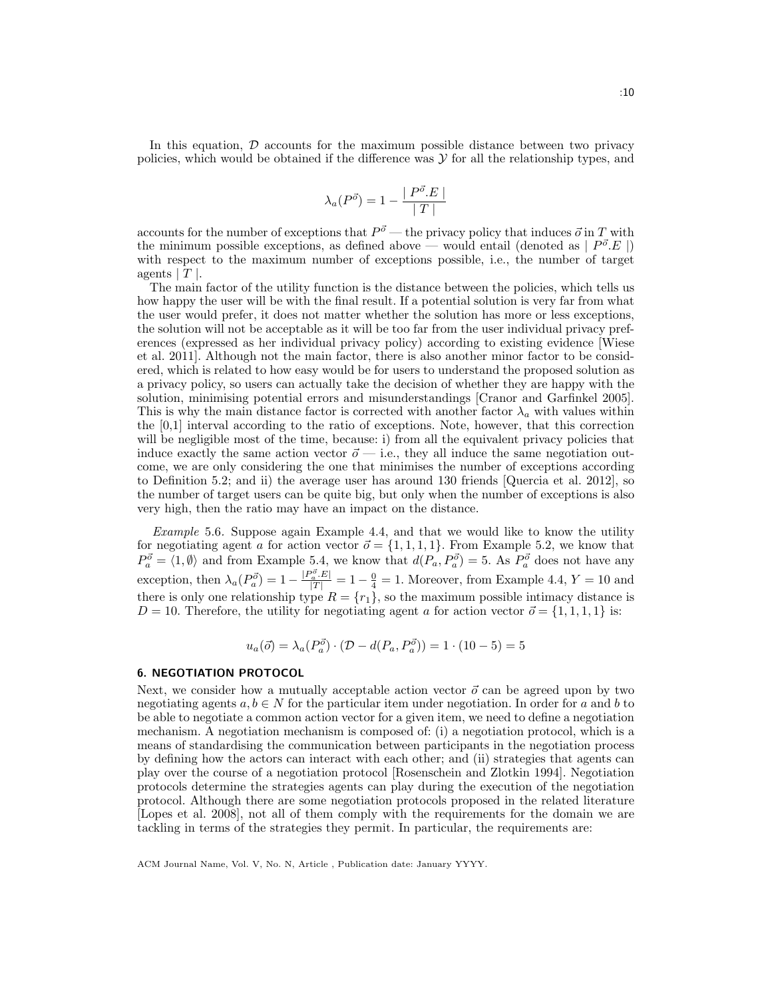In this equation,  $D$  accounts for the maximum possible distance between two privacy policies, which would be obtained if the difference was  $\mathcal Y$  for all the relationship types, and

$$
\lambda_a(P^{\vec{o}}) = 1 - \frac{|P^{\vec{o}}.E|}{|T|}
$$

accounts for the number of exceptions that  $P^{\vec{\sigma}}$  — the privacy policy that induces  $\vec{\sigma}$  in T with the minimum possible exceptions, as defined above — would entail (denoted as  $|P^{\vec{o}}.E|$ ) with respect to the maximum number of exceptions possible, i.e., the number of target agents  $|T|$ .

The main factor of the utility function is the distance between the policies, which tells us how happy the user will be with the final result. If a potential solution is very far from what the user would prefer, it does not matter whether the solution has more or less exceptions, the solution will not be acceptable as it will be too far from the user individual privacy preferences (expressed as her individual privacy policy) according to existing evidence [Wiese et al. 2011]. Although not the main factor, there is also another minor factor to be considered, which is related to how easy would be for users to understand the proposed solution as a privacy policy, so users can actually take the decision of whether they are happy with the solution, minimising potential errors and misunderstandings [Cranor and Garfinkel 2005]. This is why the main distance factor is corrected with another factor  $\lambda_a$  with values within the [0,1] interval according to the ratio of exceptions. Note, however, that this correction will be negligible most of the time, because: i) from all the equivalent privacy policies that induce exactly the same action vector  $\vec{o}$  — i.e., they all induce the same negotiation outcome, we are only considering the one that minimises the number of exceptions according to Definition 5.2; and ii) the average user has around 130 friends [Quercia et al. 2012], so the number of target users can be quite big, but only when the number of exceptions is also very high, then the ratio may have an impact on the distance.

Example 5.6. Suppose again Example 4.4, and that we would like to know the utility for negotiating agent a for action vector  $\vec{o} = \{1, 1, 1, 1\}$ . From Example 5.2, we know that  $P_a^{\vec{\sigma}} = \langle 1, \emptyset \rangle$  and from Example 5.4, we know that  $d(P_a, P_a^{\vec{\sigma}}) = 5$ . As  $P_a^{\vec{\sigma}}$  does not have any exception, then  $\lambda_a(P_a^{\vec{\sigma}}) = 1 - \frac{|P_a^{\vec{\sigma}} \cdot E|}{|T|} = 1 - \frac{0}{4} = 1$ . Moreover, from Example 4.4,  $Y = 10$  and there is only one relationship type  $R = \{r_1\}$ , so the maximum possible intimacy distance is  $D = 10$ . Therefore, the utility for negotiating agent a for action vector  $\vec{o} = \{1, 1, 1, 1\}$  is:

$$
u_a(\vec{o}) = \lambda_a(P_a^{\vec{o}}) \cdot (\mathcal{D} - d(P_a, P_a^{\vec{o}})) = 1 \cdot (10 - 5) = 5
$$

# 6. NEGOTIATION PROTOCOL

Next, we consider how a mutually acceptable action vector  $\vec{o}$  can be agreed upon by two negotiating agents  $a, b \in N$  for the particular item under negotiation. In order for a and b to be able to negotiate a common action vector for a given item, we need to define a negotiation mechanism. A negotiation mechanism is composed of: (i) a negotiation protocol, which is a means of standardising the communication between participants in the negotiation process by defining how the actors can interact with each other; and (ii) strategies that agents can play over the course of a negotiation protocol [Rosenschein and Zlotkin 1994]. Negotiation protocols determine the strategies agents can play during the execution of the negotiation protocol. Although there are some negotiation protocols proposed in the related literature [Lopes et al. 2008], not all of them comply with the requirements for the domain we are tackling in terms of the strategies they permit. In particular, the requirements are: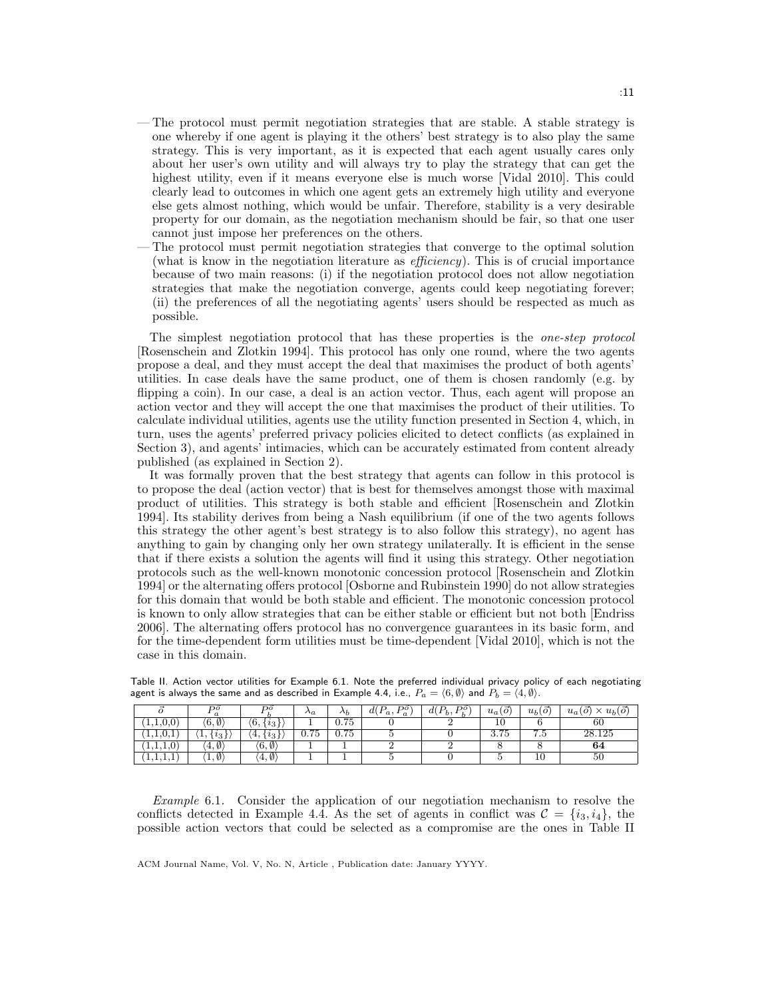- The protocol must permit negotiation strategies that are stable. A stable strategy is one whereby if one agent is playing it the others' best strategy is to also play the same strategy. This is very important, as it is expected that each agent usually cares only about her user's own utility and will always try to play the strategy that can get the highest utility, even if it means everyone else is much worse [Vidal 2010]. This could clearly lead to outcomes in which one agent gets an extremely high utility and everyone else gets almost nothing, which would be unfair. Therefore, stability is a very desirable property for our domain, as the negotiation mechanism should be fair, so that one user cannot just impose her preferences on the others.
- The protocol must permit negotiation strategies that converge to the optimal solution (what is know in the negotiation literature as efficiency). This is of crucial importance because of two main reasons: (i) if the negotiation protocol does not allow negotiation strategies that make the negotiation converge, agents could keep negotiating forever; (ii) the preferences of all the negotiating agents' users should be respected as much as possible.

The simplest negotiation protocol that has these properties is the one-step protocol [Rosenschein and Zlotkin 1994]. This protocol has only one round, where the two agents propose a deal, and they must accept the deal that maximises the product of both agents' utilities. In case deals have the same product, one of them is chosen randomly (e.g. by flipping a coin). In our case, a deal is an action vector. Thus, each agent will propose an action vector and they will accept the one that maximises the product of their utilities. To calculate individual utilities, agents use the utility function presented in Section 4, which, in turn, uses the agents' preferred privacy policies elicited to detect conflicts (as explained in Section 3), and agents' intimacies, which can be accurately estimated from content already published (as explained in Section 2).

It was formally proven that the best strategy that agents can follow in this protocol is to propose the deal (action vector) that is best for themselves amongst those with maximal product of utilities. This strategy is both stable and efficient [Rosenschein and Zlotkin 1994]. Its stability derives from being a Nash equilibrium (if one of the two agents follows this strategy the other agent's best strategy is to also follow this strategy), no agent has anything to gain by changing only her own strategy unilaterally. It is efficient in the sense that if there exists a solution the agents will find it using this strategy. Other negotiation protocols such as the well-known monotonic concession protocol [Rosenschein and Zlotkin 1994] or the alternating offers protocol [Osborne and Rubinstein 1990] do not allow strategies for this domain that would be both stable and efficient. The monotonic concession protocol is known to only allow strategies that can be either stable or efficient but not both [Endriss 2006]. The alternating offers protocol has no convergence guarantees in its basic form, and for the time-dependent form utilities must be time-dependent [Vidal 2010], which is not the case in this domain.

|                            | no<br>$\boldsymbol{a}$        | DO                                | $\Lambda a$ | $\Delta b$ | $\mathbf{D}^{\sigma}$<br>D<br>d(<br>$\mathcal{L}(a, a)$ | DO<br>$d(P_b,$ | $u_a(\vec{o})$ | $u_b(o)$                 | $\times u_b(\vec{o})$<br>$\sigma$<br>$u_a$ |
|----------------------------|-------------------------------|-----------------------------------|-------------|------------|---------------------------------------------------------|----------------|----------------|--------------------------|--------------------------------------------|
| 1, 1, 0, 0                 | $\langle 6,\emptyset \rangle$ | $(6, \cdot$<br>$\cdot i_{3}$      |             | 0.75       |                                                         |                | 10             |                          | 60                                         |
| 1, 1, 0, 1                 | $\{v_3\}$<br><b>1.</b>        | '4.<br>$^{\prime}$ $\imath_{3}$ , | 0.75        | 0.75       |                                                         |                | 3.75           | −<br>$\cdot \cdot \cdot$ | 28.125                                     |
| $\Omega$<br>$1, 1, 1, 0$ , | $(4, \emptyset)$              | $(6, \emptyset)$                  |             |            |                                                         |                |                |                          | 64                                         |
| 1, 1, 1, 1                 | $\langle 1,\emptyset \rangle$ | $(4, \emptyset)$                  |             |            |                                                         |                |                | 10                       | 50                                         |

Table II. Action vector utilities for Example 6.1. Note the preferred individual privacy policy of each negotiating agent is always the same and as described in Example 4.4, i.e.,  $P_a = \langle 6, \emptyset \rangle$  and  $P_b = \langle 4, \emptyset \rangle$ .

Example 6.1. Consider the application of our negotiation mechanism to resolve the conflicts detected in Example 4.4. As the set of agents in conflict was  $\mathcal{C} = \{i_3, i_4\}$ , the possible action vectors that could be selected as a compromise are the ones in Table II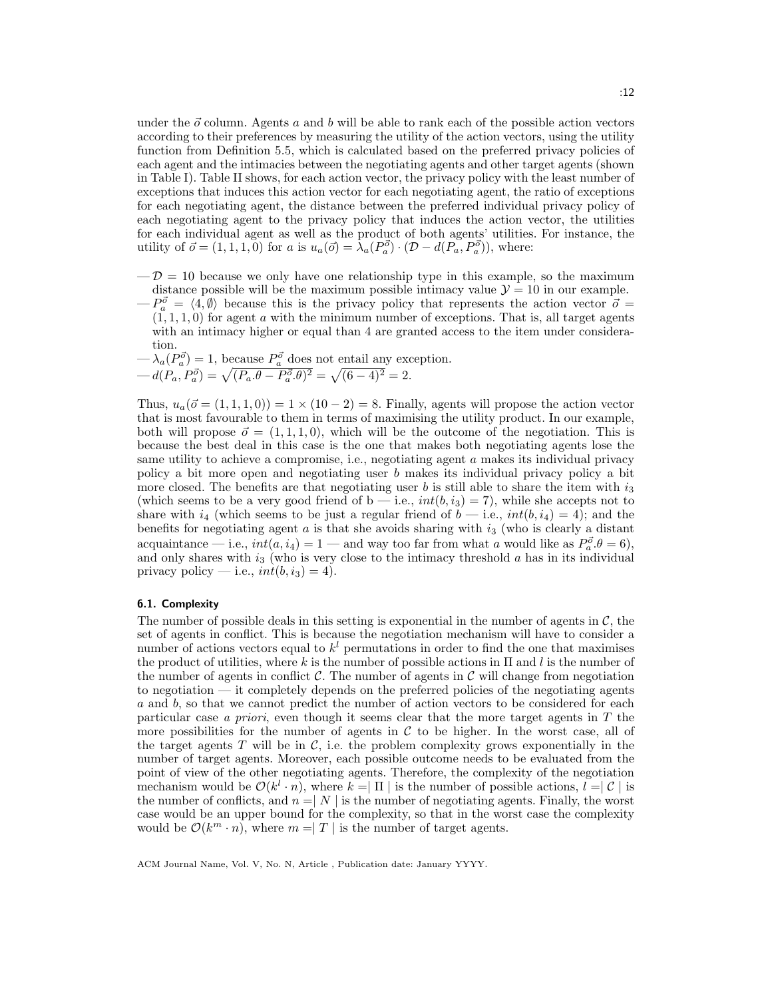under the  $\vec{o}$  column. Agents a and b will be able to rank each of the possible action vectors according to their preferences by measuring the utility of the action vectors, using the utility function from Definition 5.5, which is calculated based on the preferred privacy policies of each agent and the intimacies between the negotiating agents and other target agents (shown in Table I). Table II shows, for each action vector, the privacy policy with the least number of exceptions that induces this action vector for each negotiating agent, the ratio of exceptions for each negotiating agent, the distance between the preferred individual privacy policy of each negotiating agent to the privacy policy that induces the action vector, the utilities for each individual agent as well as the product of both agents' utilities. For instance, the utility of  $\vec{o} = (1, 1, 1, 0)$  for a is  $u_a(\vec{o}) = \lambda_a(P_a^{\vec{o}}) \cdot (D - d(P_a, P_a^{\vec{o}}))$ , where:

- $-\mathcal{D} = 10$  because we only have one relationship type in this example, so the maximum distance possible will be the maximum possible intimacy value  $\mathcal{Y} = 10$  in our example.
- $-P_a^{\vec{\sigma}} = \langle 4, \emptyset \rangle$  because this is the privacy policy that represents the action vector  $\vec{\sigma} =$  $(1, 1, 1, 0)$  for agent a with the minimum number of exceptions. That is, all target agents with an intimacy higher or equal than 4 are granted access to the item under consideration.

$$
-\lambda_a(P_a^{\vec{o}}) = 1, \text{ because } P_a^{\vec{o}} \text{ does not entail any exception.}
$$
  

$$
-d(P_a, P_a^{\vec{o}}) = \sqrt{(P_a \theta - P_a^{\vec{o}} \theta)^2} = \sqrt{(6-4)^2} = 2.
$$

Thus,  $u_a(\vec{o} = (1, 1, 1, 0)) = 1 \times (10 - 2) = 8$ . Finally, agents will propose the action vector that is most favourable to them in terms of maximising the utility product. In our example, both will propose  $\vec{\sigma} = (1, 1, 1, 0)$ , which will be the outcome of the negotiation. This is because the best deal in this case is the one that makes both negotiating agents lose the same utility to achieve a compromise, i.e., negotiating agent a makes its individual privacy policy a bit more open and negotiating user b makes its individual privacy policy a bit more closed. The benefits are that negotiating user b is still able to share the item with  $i_3$ (which seems to be a very good friend of  $b$  — i.e.,  $int(b, i_3) = 7$ ), while she accepts not to share with  $i_4$  (which seems to be just a regular friend of  $b$  — i.e.,  $int(b, i_4) = 4$ ); and the benefits for negotiating agent a is that she avoids sharing with  $i_3$  (who is clearly a distant acquaintance — i.e.,  $int(a, i_4) = 1$  — and way too far from what a would like as  $P_a^{\vec{\sigma}} \cdot \theta = 6$ , and only shares with  $i_3$  (who is very close to the intimacy threshold a has in its individual privacy policy — i.e.,  $int(b, i_3) = 4$ .

## 6.1. Complexity

The number of possible deals in this setting is exponential in the number of agents in  $\mathcal{C}$ , the set of agents in conflict. This is because the negotiation mechanism will have to consider a number of actions vectors equal to  $k^{l}$  permutations in order to find the one that maximises the product of utilities, where k is the number of possible actions in  $\Pi$  and l is the number of the number of agents in conflict  $\mathcal{C}$ . The number of agents in  $\mathcal{C}$  will change from negotiation to negotiation — it completely depends on the preferred policies of the negotiating agents a and b, so that we cannot predict the number of action vectors to be considered for each particular case a priori, even though it seems clear that the more target agents in T the more possibilities for the number of agents in  $\mathcal C$  to be higher. In the worst case, all of the target agents T will be in  $\mathcal{C}$ , i.e. the problem complexity grows exponentially in the number of target agents. Moreover, each possible outcome needs to be evaluated from the point of view of the other negotiating agents. Therefore, the complexity of the negotiation mechanism would be  $\mathcal{O}(k^l \cdot n)$ , where  $k = |\Pi|$  is the number of possible actions,  $l = |\mathcal{C}|$  is the number of conflicts, and  $n = |N|$  is the number of negotiating agents. Finally, the worst case would be an upper bound for the complexity, so that in the worst case the complexity would be  $\mathcal{O}(k^m \cdot n)$ , where  $m = |T|$  is the number of target agents.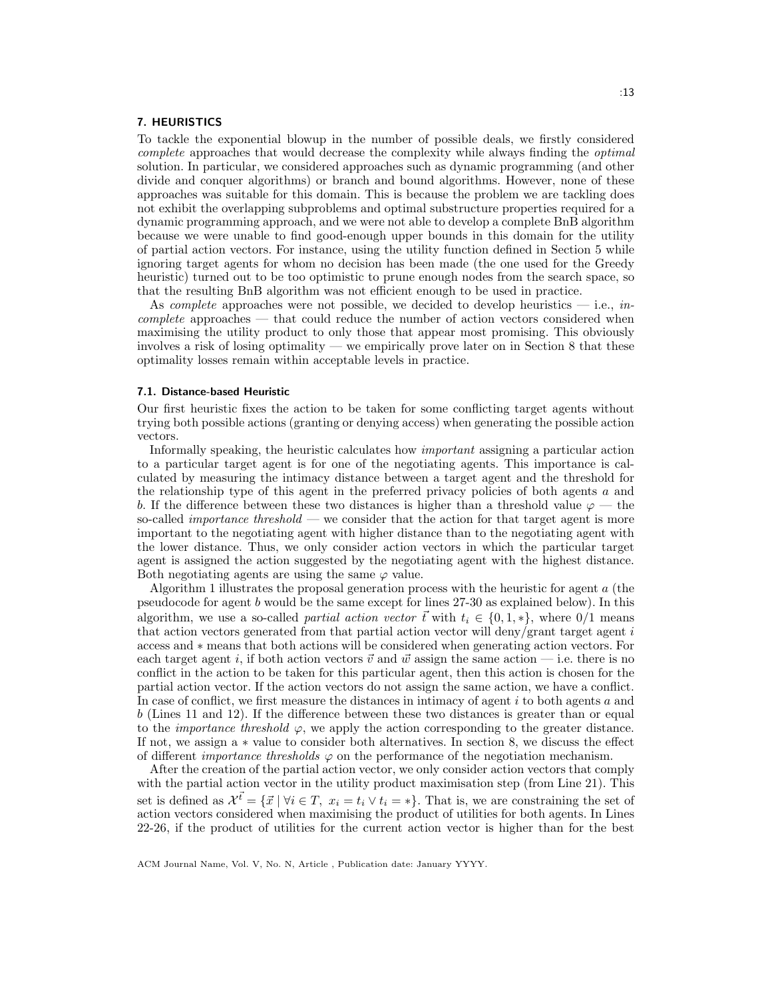#### 7. HEURISTICS

To tackle the exponential blowup in the number of possible deals, we firstly considered complete approaches that would decrease the complexity while always finding the optimal solution. In particular, we considered approaches such as dynamic programming (and other divide and conquer algorithms) or branch and bound algorithms. However, none of these approaches was suitable for this domain. This is because the problem we are tackling does not exhibit the overlapping subproblems and optimal substructure properties required for a dynamic programming approach, and we were not able to develop a complete BnB algorithm because we were unable to find good-enough upper bounds in this domain for the utility of partial action vectors. For instance, using the utility function defined in Section 5 while ignoring target agents for whom no decision has been made (the one used for the Greedy heuristic) turned out to be too optimistic to prune enough nodes from the search space, so that the resulting BnB algorithm was not efficient enough to be used in practice.

As *complete* approaches were not possible, we decided to develop heuristics  $-$  i.e., *in*complete approaches — that could reduce the number of action vectors considered when maximising the utility product to only those that appear most promising. This obviously involves a risk of losing optimality — we empirically prove later on in Section 8 that these optimality losses remain within acceptable levels in practice.

#### 7.1. Distance-based Heuristic

Our first heuristic fixes the action to be taken for some conflicting target agents without trying both possible actions (granting or denying access) when generating the possible action vectors.

Informally speaking, the heuristic calculates how important assigning a particular action to a particular target agent is for one of the negotiating agents. This importance is calculated by measuring the intimacy distance between a target agent and the threshold for the relationship type of this agent in the preferred privacy policies of both agents a and b. If the difference between these two distances is higher than a threshold value  $\varphi$  — the so-called *importance threshold* — we consider that the action for that target agent is more important to the negotiating agent with higher distance than to the negotiating agent with the lower distance. Thus, we only consider action vectors in which the particular target agent is assigned the action suggested by the negotiating agent with the highest distance. Both negotiating agents are using the same  $\varphi$  value.

Algorithm 1 illustrates the proposal generation process with the heuristic for agent  $a$  (the pseudocode for agent b would be the same except for lines 27-30 as explained below). In this algorithm, we use a so-called *partial action vector*  $\vec{t}$  with  $t_i \in \{0, 1, *\}$ , where 0/1 means that action vectors generated from that partial action vector will deny/grant target agent  $i$ access and ∗ means that both actions will be considered when generating action vectors. For each target agent i, if both action vectors  $\vec{v}$  and  $\vec{w}$  assign the same action — i.e. there is no conflict in the action to be taken for this particular agent, then this action is chosen for the partial action vector. If the action vectors do not assign the same action, we have a conflict. In case of conflict, we first measure the distances in intimacy of agent i to both agents a and b (Lines 11 and 12). If the difference between these two distances is greater than or equal to the *importance threshold*  $\varphi$ , we apply the action corresponding to the greater distance. If not, we assign a ∗ value to consider both alternatives. In section 8, we discuss the effect of different *importance thresholds*  $\varphi$  on the performance of the negotiation mechanism.

After the creation of the partial action vector, we only consider action vectors that comply with the partial action vector in the utility product maximisation step (from Line 21). This set is defined as  $\mathcal{X}^{\vec{t}} = {\vec{x} \mid \forall i \in T, x_i = t_i \vee t_i = *}.$  That is, we are constraining the set of action vectors considered when maximising the product of utilities for both agents. In Lines 22-26, if the product of utilities for the current action vector is higher than for the best

ACM Journal Name, Vol. V, No. N, Article , Publication date: January YYYY.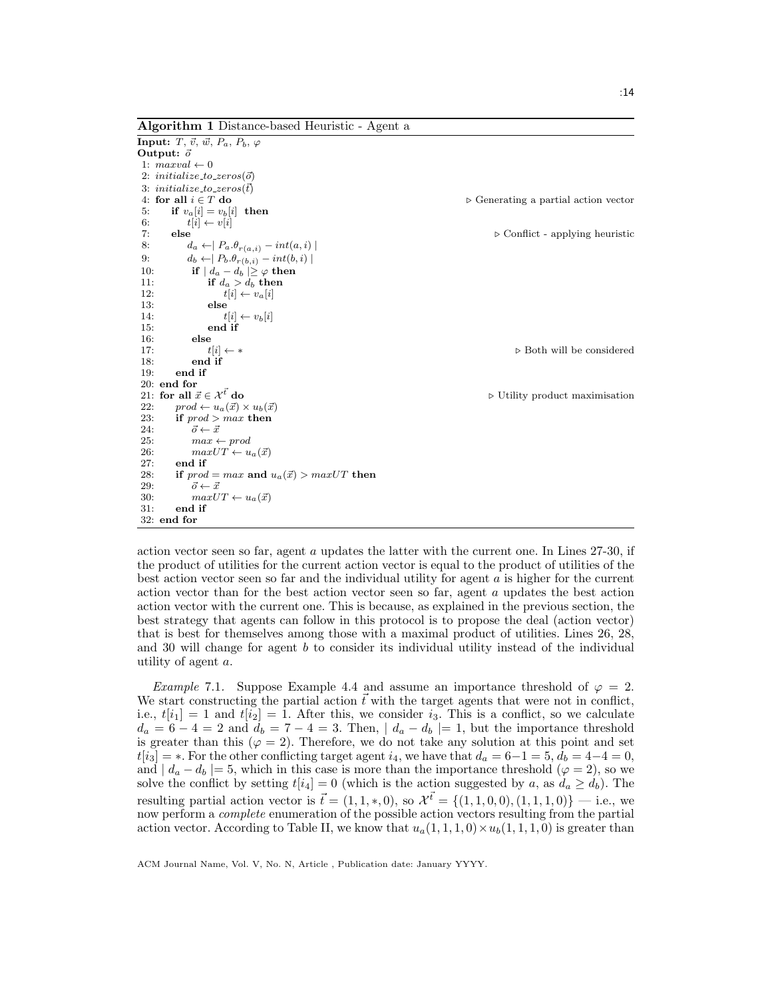Algorithm 1 Distance-based Heuristic - Agent a

```
Input: T, \vec{v}, \vec{w}, P_a, P_b, \varphiOutput: \vec{o}1: maxval \leftarrow 02: initialize_to_zeros(\vec{o})
 3: initialize_to_zeros(\vec{t})<br>4: for all i \in T do
                                                                                                        ⊳ Generating a partial action vector
 5: if v_a[i] = v_b[i] then<br>6: t[i] \leftarrow v[i]6: t[i] \leftarrow v[i]<br>7: else
                                                                                                                 \triangleright Conflict - applying heuristic
 8: d_a \leftarrow | P_a \cdot \theta_{r(a,i)} - int(a,i) |9: d_b \leftarrow | P_b \cdot \theta_{r(b,i)} - int(b,i) |10: if | d_a - d_b | \ge \varphi then
 11: if d_a > d_b then<br>
12: if i \in v_a[i]12: t[i] \leftarrow v_a[i]<br>13: else
                      else
 14: t[i] \leftarrow v_b[i]15: end if
 16: else<br>17: t[i] \leftarrow *17: t[i] \leftarrow * . Both will be considered
 18: end if<br>19: end if
            end if
20: end for 21: \text{ for all } \vec{x} \in \mathcal{X}^{\vec{t}} \text{ do}▶ Utility product maximisation
 22: prod \leftarrow u_a(\vec{x}) \times u_b(\vec{x})<br>
23: if prod \gt{max} then
 23: if \text{prod} > \text{max} then<br>24: \vec{o} \leftarrow \vec{x}\vec{o} \leftarrow \vec{x}25: max \leftarrow prod26: maxUT \leftarrow u_a(\vec{x})<br>27: end if
            end if
 28: if prod = max and u_a(\vec{x}) > maxUT then<br>29: \vec{o} \leftarrow \vec{x}29: \vec{o} \leftarrow \vec{x}<br>30: \frac{\vec{o} \leftarrow \vec{x}}{maxI}30: maxUT \leftarrow u_a(\vec{x})<br>31: end if
            end if
32: end for
```
action vector seen so far, agent a updates the latter with the current one. In Lines 27-30, if the product of utilities for the current action vector is equal to the product of utilities of the best action vector seen so far and the individual utility for agent  $a$  is higher for the current action vector than for the best action vector seen so far, agent a updates the best action action vector with the current one. This is because, as explained in the previous section, the best strategy that agents can follow in this protocol is to propose the deal (action vector) that is best for themselves among those with a maximal product of utilities. Lines 26, 28, and 30 will change for agent b to consider its individual utility instead of the individual utility of agent a.

*Example 7.1.* Suppose Example 4.4 and assume an importance threshold of  $\varphi = 2$ . We start constructing the partial action  $\tilde{t}$  with the target agents that were not in conflict, i.e.,  $t[i_1] = 1$  and  $t[i_2] = 1$ . After this, we consider  $i_3$ . This is a conflict, so we calculate  $d_a = 6 - 4 = 2$  and  $d_b = 7 - 4 = 3$ . Then,  $|d_a - d_b| = 1$ , but the importance threshold is greater than this ( $\varphi = 2$ ). Therefore, we do not take any solution at this point and set  $t[i_3] = *$ . For the other conflicting target agent  $i_4$ , we have that  $d_a = 6-1 = 5$ ,  $d_b = 4-4 = 0$ , and  $| d_a - d_b | = 5$ , which in this case is more than the importance threshold  $(\varphi = 2)$ , so we solve the conflict by setting  $t[i_4] = 0$  (which is the action suggested by a, as  $d_a \geq d_b$ ). The resulting partial action vector is  $\vec{t} = (1, 1, *, 0)$ , so  $\mathcal{X}^{\vec{t}} = \{(1, 1, 0, 0), (1, 1, 1, 0)\}$  — i.e., we now perform a complete enumeration of the possible action vectors resulting from the partial action vector. According to Table II, we know that  $u_a(1, 1, 1, 0) \times u_b(1, 1, 1, 0)$  is greater than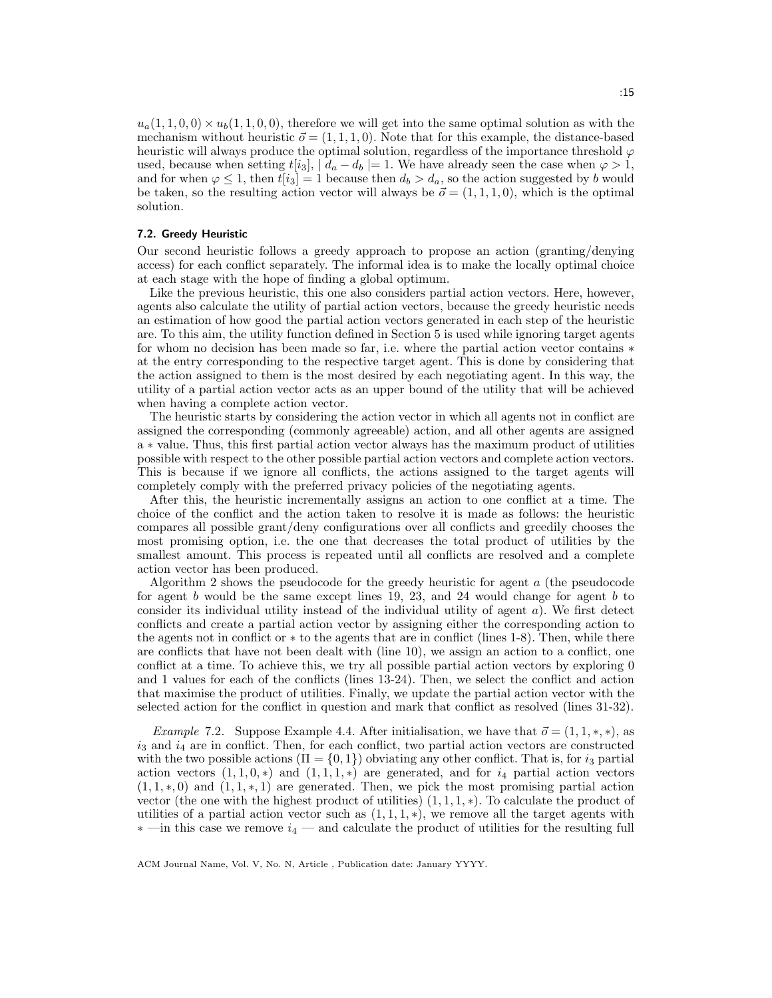$u_a(1, 1, 0, 0) \times u_b(1, 1, 0, 0)$ , therefore we will get into the same optimal solution as with the mechanism without heuristic  $\vec{\sigma} = (1, 1, 1, 0)$ . Note that for this example, the distance-based heuristic will always produce the optimal solution, regardless of the importance threshold  $\varphi$ used, because when setting  $t[i_3]$ ,  $| d_a - d_b | = 1$ . We have already seen the case when  $\varphi > 1$ , and for when  $\varphi \leq 1$ , then  $t[i_3] = 1$  because then  $d_b > d_a$ , so the action suggested by b would be taken, so the resulting action vector will always be  $\vec{\sigma} = (1, 1, 1, 0)$ , which is the optimal solution.

### 7.2. Greedy Heuristic

Our second heuristic follows a greedy approach to propose an action (granting/denying access) for each conflict separately. The informal idea is to make the locally optimal choice at each stage with the hope of finding a global optimum.

Like the previous heuristic, this one also considers partial action vectors. Here, however, agents also calculate the utility of partial action vectors, because the greedy heuristic needs an estimation of how good the partial action vectors generated in each step of the heuristic are. To this aim, the utility function defined in Section 5 is used while ignoring target agents for whom no decision has been made so far, i.e. where the partial action vector contains ∗ at the entry corresponding to the respective target agent. This is done by considering that the action assigned to them is the most desired by each negotiating agent. In this way, the utility of a partial action vector acts as an upper bound of the utility that will be achieved when having a complete action vector.

The heuristic starts by considering the action vector in which all agents not in conflict are assigned the corresponding (commonly agreeable) action, and all other agents are assigned a ∗ value. Thus, this first partial action vector always has the maximum product of utilities possible with respect to the other possible partial action vectors and complete action vectors. This is because if we ignore all conflicts, the actions assigned to the target agents will completely comply with the preferred privacy policies of the negotiating agents.

After this, the heuristic incrementally assigns an action to one conflict at a time. The choice of the conflict and the action taken to resolve it is made as follows: the heuristic compares all possible grant/deny configurations over all conflicts and greedily chooses the most promising option, i.e. the one that decreases the total product of utilities by the smallest amount. This process is repeated until all conflicts are resolved and a complete action vector has been produced.

Algorithm 2 shows the pseudocode for the greedy heuristic for agent a (the pseudocode for agent  $b$  would be the same except lines 19, 23, and 24 would change for agent  $b$  to consider its individual utility instead of the individual utility of agent a). We first detect conflicts and create a partial action vector by assigning either the corresponding action to the agents not in conflict or ∗ to the agents that are in conflict (lines 1-8). Then, while there are conflicts that have not been dealt with (line 10), we assign an action to a conflict, one conflict at a time. To achieve this, we try all possible partial action vectors by exploring 0 and 1 values for each of the conflicts (lines 13-24). Then, we select the conflict and action that maximise the product of utilities. Finally, we update the partial action vector with the selected action for the conflict in question and mark that conflict as resolved (lines 31-32).

*Example 7.2.* Suppose Example 4.4. After initialisation, we have that  $\vec{o} = (1, 1, \ast, \ast)$ , as  $i_3$  and  $i_4$  are in conflict. Then, for each conflict, two partial action vectors are constructed with the two possible actions  $(\Pi = \{0, 1\})$  obviating any other conflict. That is, for  $i_3$  partial action vectors  $(1,1,0,*)$  and  $(1,1,1,*)$  are generated, and for  $i<sub>4</sub>$  partial action vectors  $(1, 1, *, 0)$  and  $(1, 1, *, 1)$  are generated. Then, we pick the most promising partial action vector (the one with the highest product of utilities)  $(1, 1, 1, *)$ . To calculate the product of utilities of a partial action vector such as  $(1, 1, 1, *)$ , we remove all the target agents with  $*$  —in this case we remove  $i_4$  — and calculate the product of utilities for the resulting full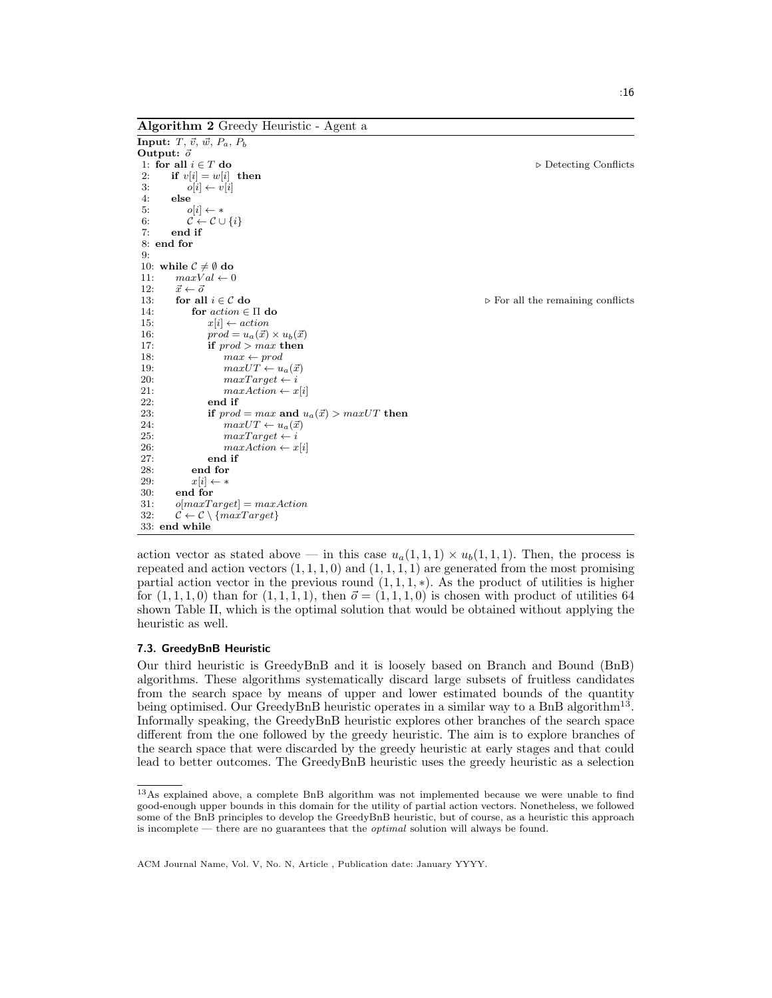Algorithm 2 Greedy Heuristic - Agent a

```
Input: T, \vec{v}, \vec{w}, P_a, P_bOutput: \vec{o}<br>1: for all i \in T do
                                                                                                                 ⊳ Detecting Conflicts
 2: if v[i] = w[i] then<br>3: o[i] \leftarrow v[i]3: o[i] \leftarrow v[i]<br>4: else
         else
 5: o[i] \leftarrow *6: \mathcal{C} \leftarrow \mathcal{C} \cup \{i\}7: end if
 8: end for
 Q -10: while C \neq \emptyset do
11: maxVal \leftarrow 0<br>12: \vec{x} \leftarrow \vec{o}\vec{x} \leftarrow \vec{o}<br>for all i \in \mathcal{C} do
 13: for all i \in \mathcal{C} do \triangleright For all the remaining conflicts
 14: for action \in \Pi do
 15: x[i] \leftarrow action16: prod = u_a(\vec{x}) \times u_b(\vec{x})<br>17: if prod \geq max then
                    if prod > max then
18: max \leftarrow prod19: maxUT \leftarrow u_a(\vec{x})<br>
20: maxTarget \leftarrow i20: maxTarget \leftarrow i<br>21: maxAction \leftarrow x21: maxAction \leftarrow x[i]<br>22: end if
 22: end if<br>
23: if n\alphaif prod = max and u_a(\vec{x}) > maxUT then
 24: maxUT \leftarrow u_a(\vec{x})<br>
25: maxTarget \leftarrow imaxTarget \leftarrow i26: maxAction \leftarrow x[i]<br>27: end if
                    end if
 28: end for
 29: x[i] \leftarrow *30: end for
31: o[\maxTarget] = \maxAction32: \mathcal{C} \leftarrow \mathcal{C} \setminus \{maxTarget\}33: end while
```
action vector as stated above — in this case  $u_a(1,1,1) \times u_b(1,1,1)$ . Then, the process is repeated and action vectors  $(1, 1, 1, 0)$  and  $(1, 1, 1, 1)$  are generated from the most promising partial action vector in the previous round  $(1, 1, 1, *)$ . As the product of utilities is higher for  $(1, 1, 1, 0)$  than for  $(1, 1, 1, 1)$ , then  $\vec{o} = (1, 1, 1, 0)$  is chosen with product of utilities 64 shown Table II, which is the optimal solution that would be obtained without applying the heuristic as well.

#### 7.3. GreedyBnB Heuristic

Our third heuristic is GreedyBnB and it is loosely based on Branch and Bound (BnB) algorithms. These algorithms systematically discard large subsets of fruitless candidates from the search space by means of upper and lower estimated bounds of the quantity being optimised. Our GreedyBnB heuristic operates in a similar way to a BnB algorithm<sup>13</sup>. Informally speaking, the GreedyBnB heuristic explores other branches of the search space different from the one followed by the greedy heuristic. The aim is to explore branches of the search space that were discarded by the greedy heuristic at early stages and that could lead to better outcomes. The GreedyBnB heuristic uses the greedy heuristic as a selection

<sup>13</sup>As explained above, a complete BnB algorithm was not implemented because we were unable to find good-enough upper bounds in this domain for the utility of partial action vectors. Nonetheless, we followed some of the BnB principles to develop the GreedyBnB heuristic, but of course, as a heuristic this approach is incomplete — there are no guarantees that the optimal solution will always be found.

ACM Journal Name, Vol. V, No. N, Article , Publication date: January YYYY.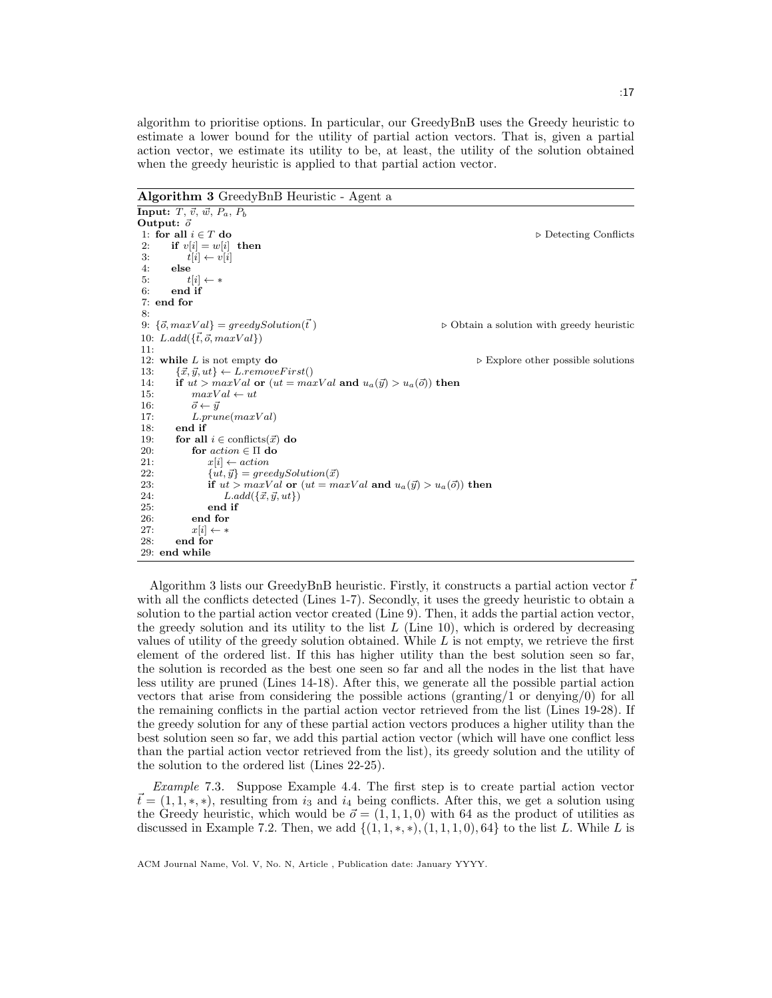algorithm to prioritise options. In particular, our GreedyBnB uses the Greedy heuristic to estimate a lower bound for the utility of partial action vectors. That is, given a partial action vector, we estimate its utility to be, at least, the utility of the solution obtained when the greedy heuristic is applied to that partial action vector.

Algorithm 3 GreedyBnB Heuristic - Agent a

```
Input: T, \vec{v}, \vec{w}, P_a, P_bOutput: \vec{o}<br>1: for all i \in T do
                                                                                                            ▷ Detecting Conflicts
 2: if v[i] = w[i] then
 3: t[i] \leftarrow v[i]<br>4: else
         else
 5: t[i] \leftarrow *6: end if
 7: end for
 8:
 9: \{\vec{o}, \maxVal\} = \text{greedySolution}(\vec{t}) . \triangleright Obtain a solution with greedy heuristic
10: L.add(\{\vec{t}, \vec{o}, maxVal\})11:
 12: while L is not empty \bf{do} \triangleright Explore other possible solutions
 13: \{\vec{x}, \vec{y}, ut\} \leftarrow L.removeFirst()
14: if ut > maxVal or (ut = maxVal and u_a(\vec{y}) > u_a(\vec{o})) then<br>15: maxVal \leftarrow utmaxVal \leftarrow ut16: \vec{o} \leftarrow \vec{y}17: L.prune(maxVal)18: end if
 19: for all i \in conflicts(\vec{x}) do
20: for \begin{array}{ll}\n\text{for } \text{action} \in \Pi \text{ do} \\
21: & x[i] \leftarrow \text{action}\n\end{array}x[i] \leftarrow action22: {ut, \vec{y}} = greedySolution(\vec{x})23: if ut > maxVal or (ut = maxVal and u_a(\vec{y}) > u_a(\vec{o})) then<br>24: L.add(\{\vec{x}, \vec{u}, ut\})L.add(\{\vec{x}, \vec{y}, ut\})25: end if
              end for
27: x[i] \leftarrow *28: end for
 29: end while
```
Algorithm 3 lists our GreedyBnB heuristic. Firstly, it constructs a partial action vector  $t^2$ with all the conflicts detected (Lines 1-7). Secondly, it uses the greedy heuristic to obtain a solution to the partial action vector created (Line 9). Then, it adds the partial action vector, the greedy solution and its utility to the list  $L$  (Line 10), which is ordered by decreasing values of utility of the greedy solution obtained. While  $L$  is not empty, we retrieve the first element of the ordered list. If this has higher utility than the best solution seen so far, the solution is recorded as the best one seen so far and all the nodes in the list that have less utility are pruned (Lines 14-18). After this, we generate all the possible partial action vectors that arise from considering the possible actions (granting/1 or denying/0) for all the remaining conflicts in the partial action vector retrieved from the list (Lines 19-28). If the greedy solution for any of these partial action vectors produces a higher utility than the best solution seen so far, we add this partial action vector (which will have one conflict less than the partial action vector retrieved from the list), its greedy solution and the utility of the solution to the ordered list (Lines 22-25).

Example 7.3. Suppose Example 4.4. The first step is to create partial action vector  $t = (1, 1, \ast, \ast)$ , resulting from i<sub>3</sub> and i<sub>4</sub> being conflicts. After this, we get a solution using the Greedy heuristic, which would be  $\vec{o} = (1, 1, 1, 0)$  with 64 as the product of utilities as discussed in Example 7.2. Then, we add  $\{(1, 1, *, *,), (1, 1, 1, 0), 64\}$  to the list L. While L is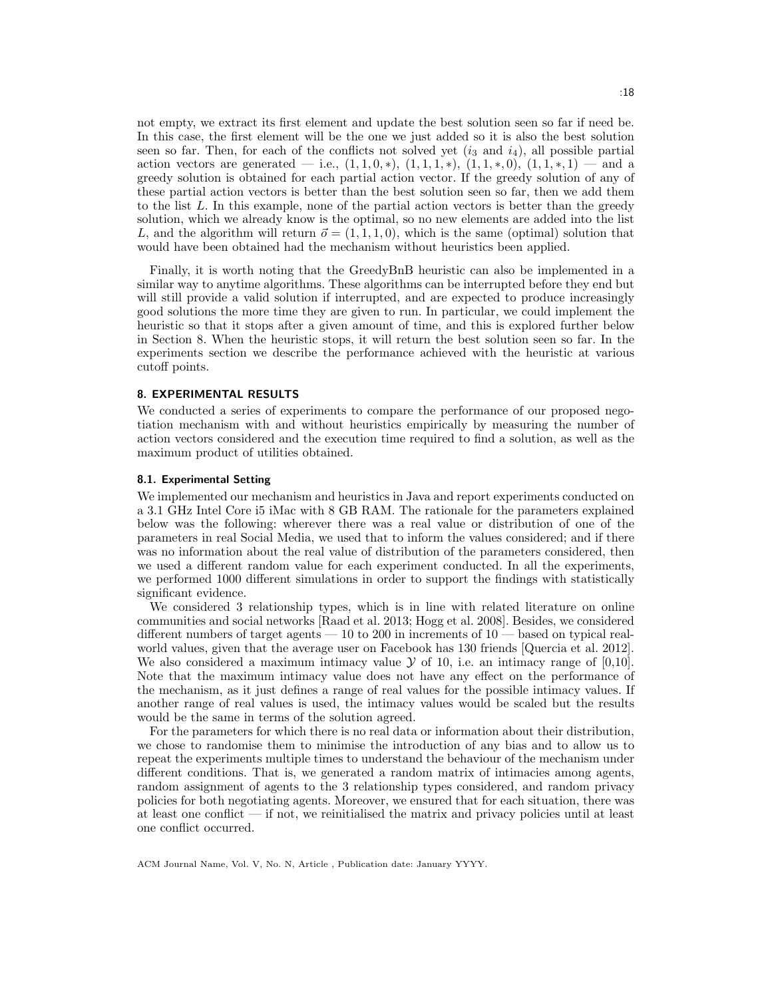not empty, we extract its first element and update the best solution seen so far if need be. In this case, the first element will be the one we just added so it is also the best solution seen so far. Then, for each of the conflicts not solved yet  $(i_3 \text{ and } i_4)$ , all possible partial action vectors are generated — i.e.,  $(1,1,0,*), (1,1,1,*), (1,1,*,0), (1,1,*,1)$  — and a greedy solution is obtained for each partial action vector. If the greedy solution of any of these partial action vectors is better than the best solution seen so far, then we add them to the list L. In this example, none of the partial action vectors is better than the greedy solution, which we already know is the optimal, so no new elements are added into the list L, and the algorithm will return  $\vec{o} = (1, 1, 1, 0)$ , which is the same (optimal) solution that would have been obtained had the mechanism without heuristics been applied.

Finally, it is worth noting that the GreedyBnB heuristic can also be implemented in a similar way to anytime algorithms. These algorithms can be interrupted before they end but will still provide a valid solution if interrupted, and are expected to produce increasingly good solutions the more time they are given to run. In particular, we could implement the heuristic so that it stops after a given amount of time, and this is explored further below in Section 8. When the heuristic stops, it will return the best solution seen so far. In the experiments section we describe the performance achieved with the heuristic at various cutoff points.

# 8. EXPERIMENTAL RESULTS

We conducted a series of experiments to compare the performance of our proposed negotiation mechanism with and without heuristics empirically by measuring the number of action vectors considered and the execution time required to find a solution, as well as the maximum product of utilities obtained.

#### 8.1. Experimental Setting

We implemented our mechanism and heuristics in Java and report experiments conducted on a 3.1 GHz Intel Core i5 iMac with 8 GB RAM. The rationale for the parameters explained below was the following: wherever there was a real value or distribution of one of the parameters in real Social Media, we used that to inform the values considered; and if there was no information about the real value of distribution of the parameters considered, then we used a different random value for each experiment conducted. In all the experiments, we performed 1000 different simulations in order to support the findings with statistically significant evidence.

We considered 3 relationship types, which is in line with related literature on online communities and social networks [Raad et al. 2013; Hogg et al. 2008]. Besides, we considered different numbers of target agents — 10 to 200 in increments of 10 — based on typical realworld values, given that the average user on Facebook has 130 friends [Quercia et al. 2012]. We also considered a maximum intimacy value  $\mathcal Y$  of 10, i.e. an intimacy range of [0,10]. Note that the maximum intimacy value does not have any effect on the performance of the mechanism, as it just defines a range of real values for the possible intimacy values. If another range of real values is used, the intimacy values would be scaled but the results would be the same in terms of the solution agreed.

For the parameters for which there is no real data or information about their distribution, we chose to randomise them to minimise the introduction of any bias and to allow us to repeat the experiments multiple times to understand the behaviour of the mechanism under different conditions. That is, we generated a random matrix of intimacies among agents, random assignment of agents to the 3 relationship types considered, and random privacy policies for both negotiating agents. Moreover, we ensured that for each situation, there was at least one conflict  $\frac{d}{dx}$  if not, we reinitialised the matrix and privacy policies until at least one conflict occurred.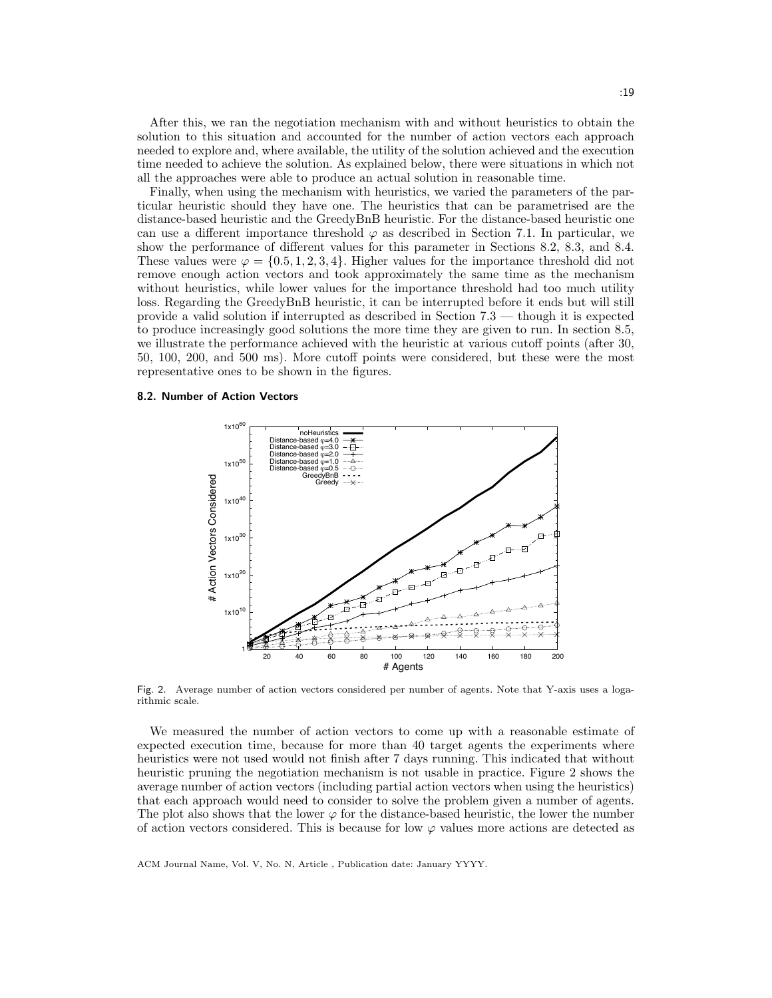After this, we ran the negotiation mechanism with and without heuristics to obtain the solution to this situation and accounted for the number of action vectors each approach needed to explore and, where available, the utility of the solution achieved and the execution time needed to achieve the solution. As explained below, there were situations in which not all the approaches were able to produce an actual solution in reasonable time.

Finally, when using the mechanism with heuristics, we varied the parameters of the particular heuristic should they have one. The heuristics that can be parametrised are the distance-based heuristic and the GreedyBnB heuristic. For the distance-based heuristic one can use a different importance threshold  $\varphi$  as described in Section 7.1. In particular, we show the performance of different values for this parameter in Sections 8.2, 8.3, and 8.4. These values were  $\varphi = \{0.5, 1, 2, 3, 4\}$ . Higher values for the importance threshold did not remove enough action vectors and took approximately the same time as the mechanism without heuristics, while lower values for the importance threshold had too much utility loss. Regarding the GreedyBnB heuristic, it can be interrupted before it ends but will still provide a valid solution if interrupted as described in Section 7.3 — though it is expected to produce increasingly good solutions the more time they are given to run. In section 8.5, we illustrate the performance achieved with the heuristic at various cutoff points (after 30, 50, 100, 200, and 500 ms). More cutoff points were considered, but these were the most representative ones to be shown in the figures.

#### 8.2. Number of Action Vectors



Fig. 2. Average number of action vectors considered per number of agents. Note that Y-axis uses a logarithmic scale.

We measured the number of action vectors to come up with a reasonable estimate of expected execution time, because for more than 40 target agents the experiments where heuristics were not used would not finish after 7 days running. This indicated that without heuristic pruning the negotiation mechanism is not usable in practice. Figure 2 shows the average number of action vectors (including partial action vectors when using the heuristics) that each approach would need to consider to solve the problem given a number of agents. The plot also shows that the lower  $\varphi$  for the distance-based heuristic, the lower the number of action vectors considered. This is because for low  $\varphi$  values more actions are detected as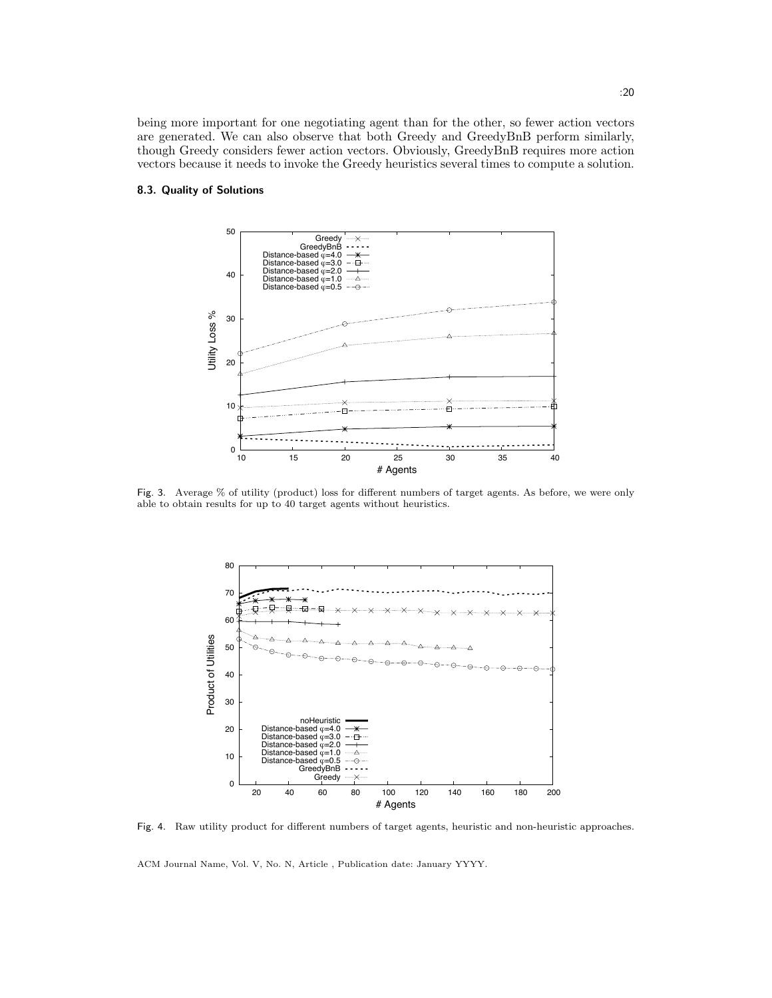being more important for one negotiating agent than for the other, so fewer action vectors are generated. We can also observe that both Greedy and GreedyBnB perform similarly, though Greedy considers fewer action vectors. Obviously, GreedyBnB requires more action vectors because it needs to invoke the Greedy heuristics several times to compute a solution.

### 8.3. Quality of Solutions



Fig. 3. Average % of utility (product) loss for different numbers of target agents. As before, we were only able to obtain results for up to 40 target agents without heuristics.



Fig. 4. Raw utility product for different numbers of target agents, heuristic and non-heuristic approaches.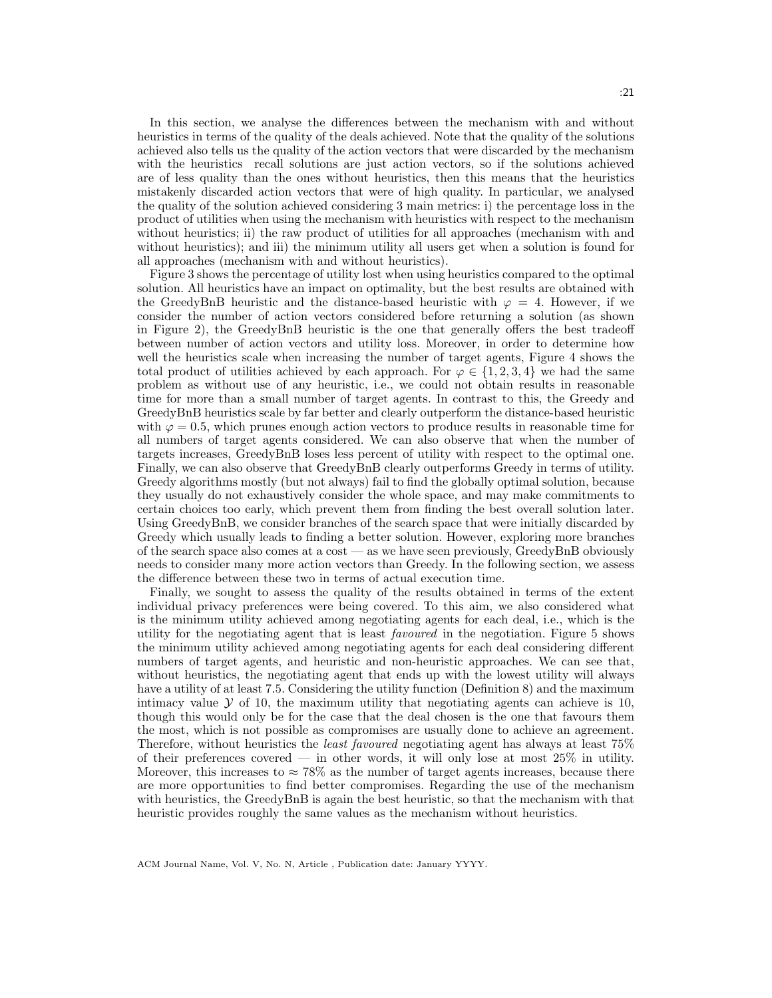In this section, we analyse the differences between the mechanism with and without heuristics in terms of the quality of the deals achieved. Note that the quality of the solutions achieved also tells us the quality of the action vectors that were discarded by the mechanism with the heuristics recall solutions are just action vectors, so if the solutions achieved are of less quality than the ones without heuristics, then this means that the heuristics mistakenly discarded action vectors that were of high quality. In particular, we analysed the quality of the solution achieved considering 3 main metrics: i) the percentage loss in the product of utilities when using the mechanism with heuristics with respect to the mechanism without heuristics; ii) the raw product of utilities for all approaches (mechanism with and without heuristics); and iii) the minimum utility all users get when a solution is found for all approaches (mechanism with and without heuristics).

Figure 3 shows the percentage of utility lost when using heuristics compared to the optimal solution. All heuristics have an impact on optimality, but the best results are obtained with the GreedyBnB heuristic and the distance-based heuristic with  $\varphi = 4$ . However, if we consider the number of action vectors considered before returning a solution (as shown in Figure 2), the GreedyBnB heuristic is the one that generally offers the best tradeoff between number of action vectors and utility loss. Moreover, in order to determine how well the heuristics scale when increasing the number of target agents, Figure 4 shows the total product of utilities achieved by each approach. For  $\varphi \in \{1, 2, 3, 4\}$  we had the same problem as without use of any heuristic, i.e., we could not obtain results in reasonable time for more than a small number of target agents. In contrast to this, the Greedy and GreedyBnB heuristics scale by far better and clearly outperform the distance-based heuristic with  $\varphi = 0.5$ , which prunes enough action vectors to produce results in reasonable time for all numbers of target agents considered. We can also observe that when the number of targets increases, GreedyBnB loses less percent of utility with respect to the optimal one. Finally, we can also observe that GreedyBnB clearly outperforms Greedy in terms of utility. Greedy algorithms mostly (but not always) fail to find the globally optimal solution, because they usually do not exhaustively consider the whole space, and may make commitments to certain choices too early, which prevent them from finding the best overall solution later. Using GreedyBnB, we consider branches of the search space that were initially discarded by Greedy which usually leads to finding a better solution. However, exploring more branches of the search space also comes at a cost — as we have seen previously, GreedyBnB obviously needs to consider many more action vectors than Greedy. In the following section, we assess the difference between these two in terms of actual execution time.

Finally, we sought to assess the quality of the results obtained in terms of the extent individual privacy preferences were being covered. To this aim, we also considered what is the minimum utility achieved among negotiating agents for each deal, i.e., which is the utility for the negotiating agent that is least favoured in the negotiation. Figure 5 shows the minimum utility achieved among negotiating agents for each deal considering different numbers of target agents, and heuristic and non-heuristic approaches. We can see that, without heuristics, the negotiating agent that ends up with the lowest utility will always have a utility of at least 7.5. Considering the utility function (Definition 8) and the maximum intimacy value  $\mathcal Y$  of 10, the maximum utility that negotiating agents can achieve is 10, though this would only be for the case that the deal chosen is the one that favours them the most, which is not possible as compromises are usually done to achieve an agreement. Therefore, without heuristics the least favoured negotiating agent has always at least 75% of their preferences covered — in other words, it will only lose at most  $25\%$  in utility. Moreover, this increases to  $\approx 78\%$  as the number of target agents increases, because there are more opportunities to find better compromises. Regarding the use of the mechanism with heuristics, the GreedyBnB is again the best heuristic, so that the mechanism with that heuristic provides roughly the same values as the mechanism without heuristics.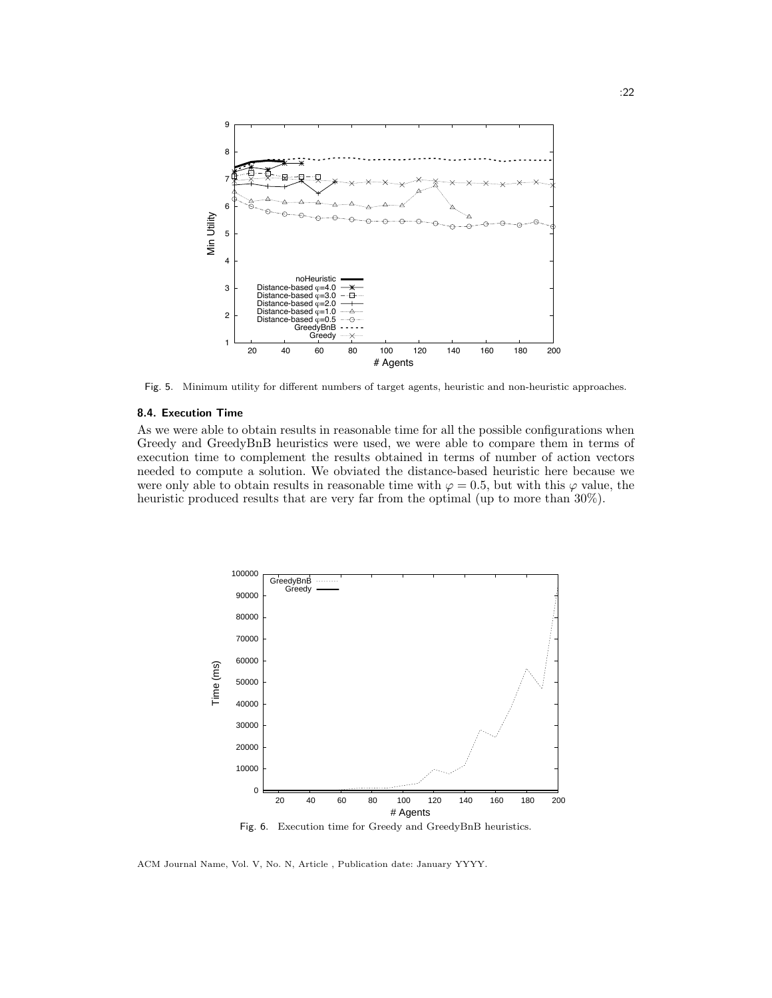

Fig. 5. Minimum utility for different numbers of target agents, heuristic and non-heuristic approaches.

#### 8.4. Execution Time

As we were able to obtain results in reasonable time for all the possible configurations when Greedy and GreedyBnB heuristics were used, we were able to compare them in terms of execution time to complement the results obtained in terms of number of action vectors needed to compute a solution. We obviated the distance-based heuristic here because we were only able to obtain results in reasonable time with  $\varphi = 0.5$ , but with this  $\varphi$  value, the heuristic produced results that are very far from the optimal (up to more than 30%).



ACM Journal Name, Vol. V, No. N, Article , Publication date: January YYYY.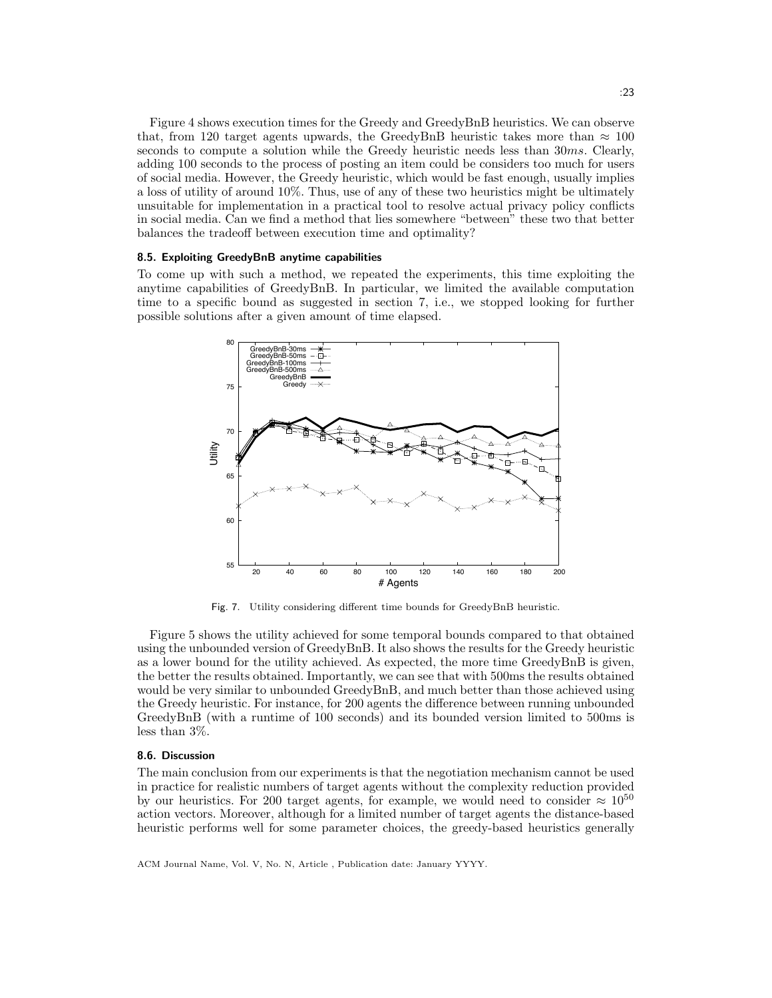Figure 4 shows execution times for the Greedy and GreedyBnB heuristics. We can observe that, from 120 target agents upwards, the GreedyBnB heuristic takes more than  $\approx 100$ seconds to compute a solution while the Greedy heuristic needs less than 30ms. Clearly, adding 100 seconds to the process of posting an item could be considers too much for users of social media. However, the Greedy heuristic, which would be fast enough, usually implies a loss of utility of around 10%. Thus, use of any of these two heuristics might be ultimately unsuitable for implementation in a practical tool to resolve actual privacy policy conflicts in social media. Can we find a method that lies somewhere "between" these two that better balances the tradeoff between execution time and optimality?

#### 8.5. Exploiting GreedyBnB anytime capabilities

To come up with such a method, we repeated the experiments, this time exploiting the anytime capabilities of GreedyBnB. In particular, we limited the available computation time to a specific bound as suggested in section 7, i.e., we stopped looking for further possible solutions after a given amount of time elapsed.



Fig. 7. Utility considering different time bounds for GreedyBnB heuristic.

Figure 5 shows the utility achieved for some temporal bounds compared to that obtained using the unbounded version of GreedyBnB. It also shows the results for the Greedy heuristic as a lower bound for the utility achieved. As expected, the more time GreedyBnB is given, the better the results obtained. Importantly, we can see that with 500ms the results obtained would be very similar to unbounded GreedyBnB, and much better than those achieved using the Greedy heuristic. For instance, for 200 agents the difference between running unbounded GreedyBnB (with a runtime of 100 seconds) and its bounded version limited to 500ms is less than 3%.

#### 8.6. Discussion

The main conclusion from our experiments is that the negotiation mechanism cannot be used in practice for realistic numbers of target agents without the complexity reduction provided by our heuristics. For 200 target agents, for example, we would need to consider  $\approx 10^{50}$ action vectors. Moreover, although for a limited number of target agents the distance-based heuristic performs well for some parameter choices, the greedy-based heuristics generally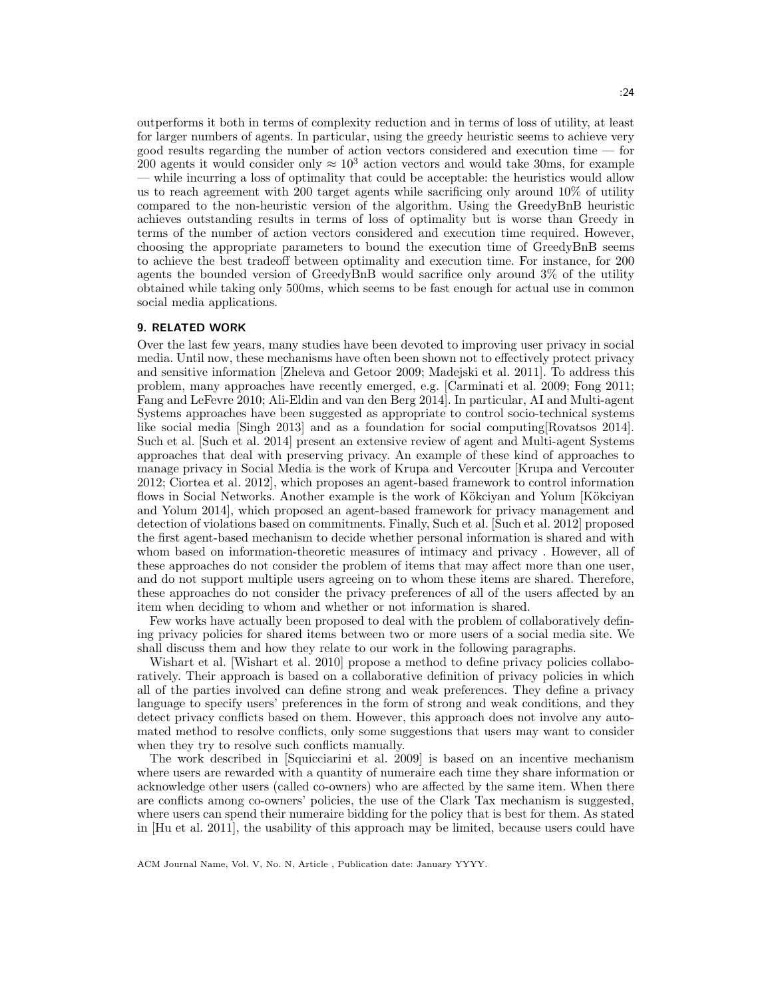outperforms it both in terms of complexity reduction and in terms of loss of utility, at least for larger numbers of agents. In particular, using the greedy heuristic seems to achieve very good results regarding the number of action vectors considered and execution time — for 200 agents it would consider only  $\approx 10^3$  action vectors and would take 30ms, for example — while incurring a loss of optimality that could be acceptable: the heuristics would allow us to reach agreement with 200 target agents while sacrificing only around 10% of utility compared to the non-heuristic version of the algorithm. Using the GreedyBnB heuristic achieves outstanding results in terms of loss of optimality but is worse than Greedy in terms of the number of action vectors considered and execution time required. However, choosing the appropriate parameters to bound the execution time of GreedyBnB seems to achieve the best tradeoff between optimality and execution time. For instance, for 200 agents the bounded version of GreedyBnB would sacrifice only around 3% of the utility obtained while taking only 500ms, which seems to be fast enough for actual use in common social media applications.

#### 9. RELATED WORK

Over the last few years, many studies have been devoted to improving user privacy in social media. Until now, these mechanisms have often been shown not to effectively protect privacy and sensitive information [Zheleva and Getoor 2009; Madejski et al. 2011]. To address this problem, many approaches have recently emerged, e.g. [Carminati et al. 2009; Fong 2011; Fang and LeFevre 2010; Ali-Eldin and van den Berg 2014]. In particular, AI and Multi-agent Systems approaches have been suggested as appropriate to control socio-technical systems like social media [Singh 2013] and as a foundation for social computing[Rovatsos 2014]. Such et al. [Such et al. 2014] present an extensive review of agent and Multi-agent Systems approaches that deal with preserving privacy. An example of these kind of approaches to manage privacy in Social Media is the work of Krupa and Vercouter [Krupa and Vercouter 2012; Ciortea et al. 2012], which proposes an agent-based framework to control information flows in Social Networks. Another example is the work of Kökciyan and Yolum [Kökciyan and Yolum 2014], which proposed an agent-based framework for privacy management and detection of violations based on commitments. Finally, Such et al. [Such et al. 2012] proposed the first agent-based mechanism to decide whether personal information is shared and with whom based on information-theoretic measures of intimacy and privacy . However, all of these approaches do not consider the problem of items that may affect more than one user, and do not support multiple users agreeing on to whom these items are shared. Therefore, these approaches do not consider the privacy preferences of all of the users affected by an item when deciding to whom and whether or not information is shared.

Few works have actually been proposed to deal with the problem of collaboratively defining privacy policies for shared items between two or more users of a social media site. We shall discuss them and how they relate to our work in the following paragraphs.

Wishart et al. [Wishart et al. 2010] propose a method to define privacy policies collaboratively. Their approach is based on a collaborative definition of privacy policies in which all of the parties involved can define strong and weak preferences. They define a privacy language to specify users' preferences in the form of strong and weak conditions, and they detect privacy conflicts based on them. However, this approach does not involve any automated method to resolve conflicts, only some suggestions that users may want to consider when they try to resolve such conflicts manually.

The work described in [Squicciarini et al. 2009] is based on an incentive mechanism where users are rewarded with a quantity of numeraire each time they share information or acknowledge other users (called co-owners) who are affected by the same item. When there are conflicts among co-owners' policies, the use of the Clark Tax mechanism is suggested, where users can spend their numeraire bidding for the policy that is best for them. As stated in [Hu et al. 2011], the usability of this approach may be limited, because users could have

ACM Journal Name, Vol. V, No. N, Article , Publication date: January YYYY.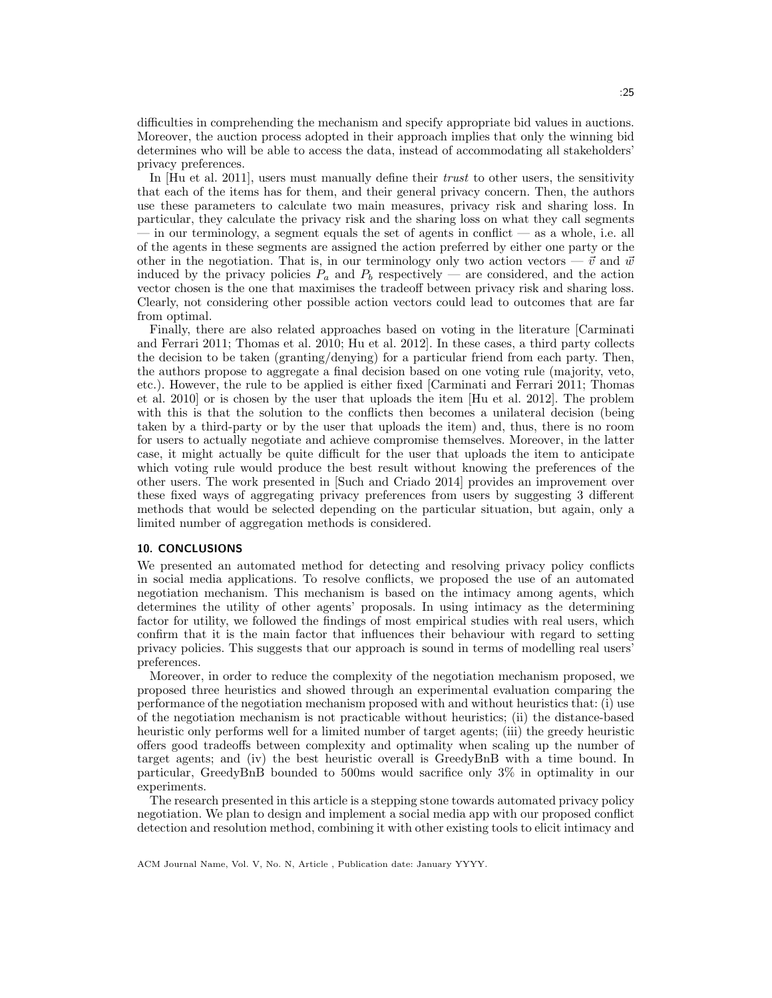difficulties in comprehending the mechanism and specify appropriate bid values in auctions. Moreover, the auction process adopted in their approach implies that only the winning bid determines who will be able to access the data, instead of accommodating all stakeholders' privacy preferences.

In [Hu et al. 2011], users must manually define their *trust* to other users, the sensitivity that each of the items has for them, and their general privacy concern. Then, the authors use these parameters to calculate two main measures, privacy risk and sharing loss. In particular, they calculate the privacy risk and the sharing loss on what they call segments — in our terminology, a segment equals the set of agents in conflict — as a whole, i.e. all of the agents in these segments are assigned the action preferred by either one party or the other in the negotiation. That is, in our terminology only two action vectors —  $\vec{v}$  and  $\vec{w}$ induced by the privacy policies  $P_a$  and  $P_b$  respectively — are considered, and the action vector chosen is the one that maximises the tradeoff between privacy risk and sharing loss. Clearly, not considering other possible action vectors could lead to outcomes that are far from optimal.

Finally, there are also related approaches based on voting in the literature [Carminati and Ferrari 2011; Thomas et al. 2010; Hu et al. 2012]. In these cases, a third party collects the decision to be taken (granting/denying) for a particular friend from each party. Then, the authors propose to aggregate a final decision based on one voting rule (majority, veto, etc.). However, the rule to be applied is either fixed [Carminati and Ferrari 2011; Thomas et al. 2010] or is chosen by the user that uploads the item [Hu et al. 2012]. The problem with this is that the solution to the conflicts then becomes a unilateral decision (being taken by a third-party or by the user that uploads the item) and, thus, there is no room for users to actually negotiate and achieve compromise themselves. Moreover, in the latter case, it might actually be quite difficult for the user that uploads the item to anticipate which voting rule would produce the best result without knowing the preferences of the other users. The work presented in [Such and Criado 2014] provides an improvement over these fixed ways of aggregating privacy preferences from users by suggesting 3 different methods that would be selected depending on the particular situation, but again, only a limited number of aggregation methods is considered.

# 10. CONCLUSIONS

We presented an automated method for detecting and resolving privacy policy conflicts in social media applications. To resolve conflicts, we proposed the use of an automated negotiation mechanism. This mechanism is based on the intimacy among agents, which determines the utility of other agents' proposals. In using intimacy as the determining factor for utility, we followed the findings of most empirical studies with real users, which confirm that it is the main factor that influences their behaviour with regard to setting privacy policies. This suggests that our approach is sound in terms of modelling real users' preferences.

Moreover, in order to reduce the complexity of the negotiation mechanism proposed, we proposed three heuristics and showed through an experimental evaluation comparing the performance of the negotiation mechanism proposed with and without heuristics that: (i) use of the negotiation mechanism is not practicable without heuristics; (ii) the distance-based heuristic only performs well for a limited number of target agents; (iii) the greedy heuristic offers good tradeoffs between complexity and optimality when scaling up the number of target agents; and (iv) the best heuristic overall is GreedyBnB with a time bound. In particular, GreedyBnB bounded to 500ms would sacrifice only 3% in optimality in our experiments.

The research presented in this article is a stepping stone towards automated privacy policy negotiation. We plan to design and implement a social media app with our proposed conflict detection and resolution method, combining it with other existing tools to elicit intimacy and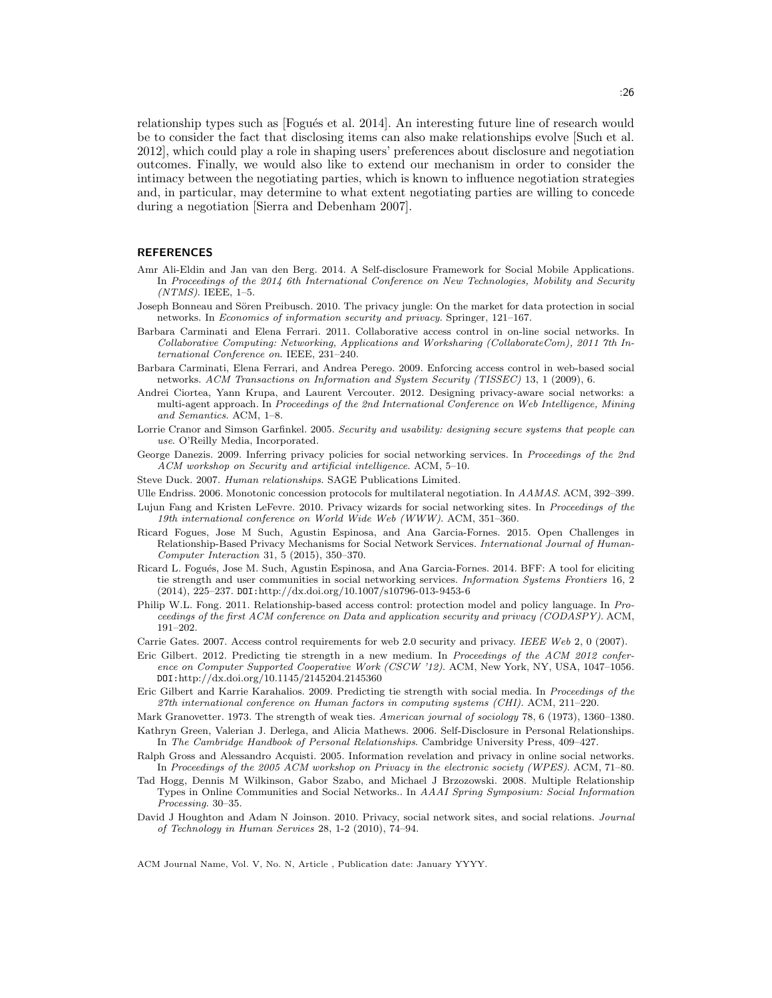relationship types such as [Fogués et al. 2014]. An interesting future line of research would be to consider the fact that disclosing items can also make relationships evolve [Such et al. 2012], which could play a role in shaping users' preferences about disclosure and negotiation outcomes. Finally, we would also like to extend our mechanism in order to consider the intimacy between the negotiating parties, which is known to influence negotiation strategies and, in particular, may determine to what extent negotiating parties are willing to concede during a negotiation [Sierra and Debenham 2007].

#### **REFERENCES**

- Amr Ali-Eldin and Jan van den Berg. 2014. A Self-disclosure Framework for Social Mobile Applications. In Proceedings of the 2014 6th International Conference on New Technologies, Mobility and Security  $(NTMS)$ . IEEE, 1-5.
- Joseph Bonneau and Sören Preibusch. 2010. The privacy jungle: On the market for data protection in social networks. In Economics of information security and privacy. Springer, 121–167.
- Barbara Carminati and Elena Ferrari. 2011. Collaborative access control in on-line social networks. In Collaborative Computing: Networking, Applications and Worksharing (CollaborateCom), 2011 7th International Conference on. IEEE, 231–240.
- Barbara Carminati, Elena Ferrari, and Andrea Perego. 2009. Enforcing access control in web-based social networks. ACM Transactions on Information and System Security (TISSEC) 13, 1 (2009), 6.
- Andrei Ciortea, Yann Krupa, and Laurent Vercouter. 2012. Designing privacy-aware social networks: a multi-agent approach. In Proceedings of the 2nd International Conference on Web Intelligence, Mining and Semantics. ACM, 1–8.
- Lorrie Cranor and Simson Garfinkel. 2005. Security and usability: designing secure systems that people can use. O'Reilly Media, Incorporated.
- George Danezis. 2009. Inferring privacy policies for social networking services. In Proceedings of the 2nd ACM workshop on Security and artificial intelligence. ACM, 5–10.
- Steve Duck. 2007. Human relationships. SAGE Publications Limited.
- Ulle Endriss. 2006. Monotonic concession protocols for multilateral negotiation. In AAMAS. ACM, 392–399.
- Lujun Fang and Kristen LeFevre. 2010. Privacy wizards for social networking sites. In *Proceedings of the* 19th international conference on World Wide Web (WWW). ACM, 351–360.
- Ricard Fogues, Jose M Such, Agustin Espinosa, and Ana Garcia-Fornes. 2015. Open Challenges in Relationship-Based Privacy Mechanisms for Social Network Services. International Journal of Human-Computer Interaction 31, 5 (2015), 350–370.
- Ricard L. Fogués, Jose M. Such, Agustin Espinosa, and Ana Garcia-Fornes. 2014. BFF: A tool for eliciting tie strength and user communities in social networking services. Information Systems Frontiers 16, 2 (2014), 225–237. DOI:http://dx.doi.org/10.1007/s10796-013-9453-6
- Philip W.L. Fong. 2011. Relationship-based access control: protection model and policy language. In Proceedings of the first ACM conference on Data and application security and privacy (CODASPY). ACM, 191–202.
- Carrie Gates. 2007. Access control requirements for web 2.0 security and privacy. IEEE Web 2, 0 (2007).
- Eric Gilbert. 2012. Predicting tie strength in a new medium. In Proceedings of the ACM 2012 conference on Computer Supported Cooperative Work (CSCW '12). ACM, New York, NY, USA, 1047–1056. DOI:http://dx.doi.org/10.1145/2145204.2145360
- Eric Gilbert and Karrie Karahalios. 2009. Predicting tie strength with social media. In Proceedings of the 27th international conference on Human factors in computing systems (CHI). ACM, 211–220.
- Mark Granovetter. 1973. The strength of weak ties. American journal of sociology 78, 6 (1973), 1360–1380. Kathryn Green, Valerian J. Derlega, and Alicia Mathews. 2006. Self-Disclosure in Personal Relationships.
- In The Cambridge Handbook of Personal Relationships. Cambridge University Press, 409–427.
- Ralph Gross and Alessandro Acquisti. 2005. Information revelation and privacy in online social networks. In Proceedings of the 2005 ACM workshop on Privacy in the electronic society (WPES). ACM, 71–80.
- Tad Hogg, Dennis M Wilkinson, Gabor Szabo, and Michael J Brzozowski. 2008. Multiple Relationship Types in Online Communities and Social Networks.. In AAAI Spring Symposium: Social Information Processing. 30–35.
- David J Houghton and Adam N Joinson. 2010. Privacy, social network sites, and social relations. Journal of Technology in Human Services 28, 1-2 (2010), 74–94.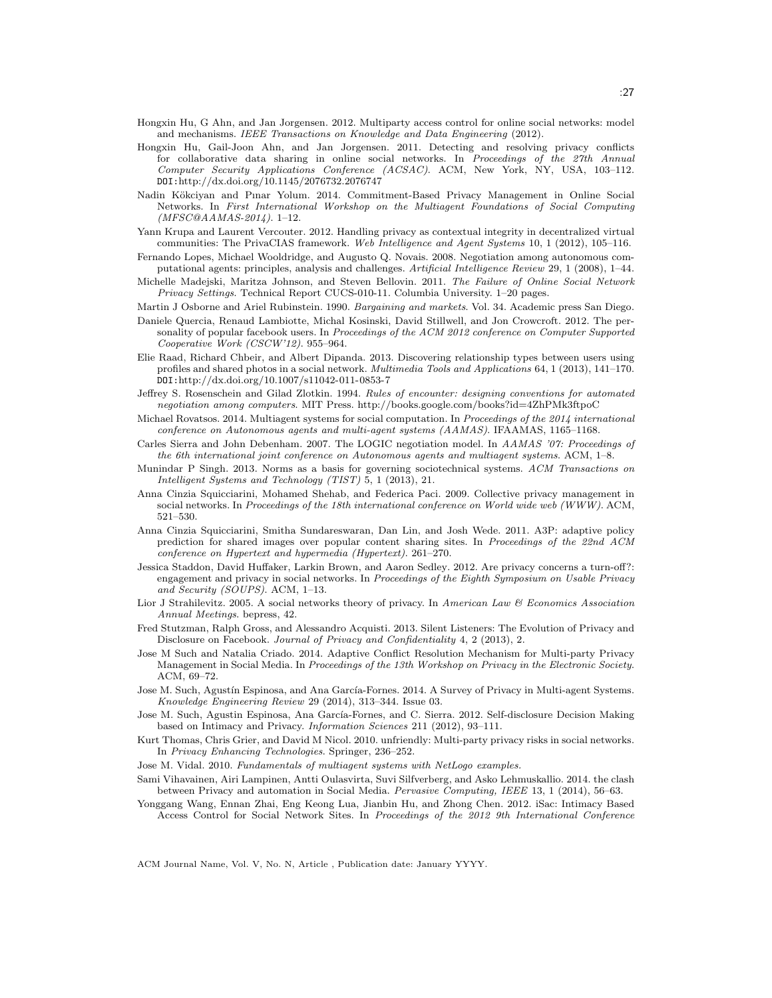- Hongxin Hu, G Ahn, and Jan Jorgensen. 2012. Multiparty access control for online social networks: model and mechanisms. IEEE Transactions on Knowledge and Data Engineering (2012).
- Hongxin Hu, Gail-Joon Ahn, and Jan Jorgensen. 2011. Detecting and resolving privacy conflicts for collaborative data sharing in online social networks. In Proceedings of the 27th Annual Computer Security Applications Conference (ACSAC). ACM, New York, NY, USA, 103–112. DOI:http://dx.doi.org/10.1145/2076732.2076747
- Nadin Kökciyan and Pınar Yolum. 2014. Commitment-Based Privacy Management in Online Social Networks. In First International Workshop on the Multiagent Foundations of Social Computing (MFSC@AAMAS-2014). 1–12.
- Yann Krupa and Laurent Vercouter. 2012. Handling privacy as contextual integrity in decentralized virtual communities: The PrivaCIAS framework. Web Intelligence and Agent Systems 10, 1 (2012), 105–116.
- Fernando Lopes, Michael Wooldridge, and Augusto Q. Novais. 2008. Negotiation among autonomous computational agents: principles, analysis and challenges. Artificial Intelligence Review 29, 1 (2008), 1–44.
- Michelle Madejski, Maritza Johnson, and Steven Bellovin. 2011. The Failure of Online Social Network Privacy Settings. Technical Report CUCS-010-11. Columbia University. 1–20 pages.
- Martin J Osborne and Ariel Rubinstein. 1990. Bargaining and markets. Vol. 34. Academic press San Diego.
- Daniele Quercia, Renaud Lambiotte, Michal Kosinski, David Stillwell, and Jon Crowcroft. 2012. The personality of popular facebook users. In Proceedings of the ACM 2012 conference on Computer Supported Cooperative Work (CSCW'12). 955–964.
- Elie Raad, Richard Chbeir, and Albert Dipanda. 2013. Discovering relationship types between users using profiles and shared photos in a social network. Multimedia Tools and Applications 64, 1 (2013), 141–170. DOI:http://dx.doi.org/10.1007/s11042-011-0853-7
- Jeffrey S. Rosenschein and Gilad Zlotkin. 1994. Rules of encounter: designing conventions for automated negotiation among computers. MIT Press. http://books.google.com/books?id=4ZhPMk3ftpoC
- Michael Rovatsos. 2014. Multiagent systems for social computation. In Proceedings of the 2014 international conference on Autonomous agents and multi-agent systems (AAMAS). IFAAMAS, 1165–1168.
- Carles Sierra and John Debenham. 2007. The LOGIC negotiation model. In AAMAS '07: Proceedings of the 6th international joint conference on Autonomous agents and multiagent systems. ACM, 1–8.
- Munindar P Singh. 2013. Norms as a basis for governing sociotechnical systems. ACM Transactions on Intelligent Systems and Technology (TIST) 5, 1 (2013), 21.
- Anna Cinzia Squicciarini, Mohamed Shehab, and Federica Paci. 2009. Collective privacy management in social networks. In Proceedings of the 18th international conference on World wide web (WWW). ACM, 521–530.
- Anna Cinzia Squicciarini, Smitha Sundareswaran, Dan Lin, and Josh Wede. 2011. A3P: adaptive policy prediction for shared images over popular content sharing sites. In Proceedings of the 22nd ACM conference on Hypertext and hypermedia (Hypertext). 261–270.
- Jessica Staddon, David Huffaker, Larkin Brown, and Aaron Sedley. 2012. Are privacy concerns a turn-off?: engagement and privacy in social networks. In Proceedings of the Eighth Symposium on Usable Privacy and Security (SOUPS). ACM, 1–13.
- Lior J Strahilevitz. 2005. A social networks theory of privacy. In American Law & Economics Association Annual Meetings. bepress, 42.
- Fred Stutzman, Ralph Gross, and Alessandro Acquisti. 2013. Silent Listeners: The Evolution of Privacy and Disclosure on Facebook. Journal of Privacy and Confidentiality 4, 2 (2013), 2.
- Jose M Such and Natalia Criado. 2014. Adaptive Conflict Resolution Mechanism for Multi-party Privacy Management in Social Media. In Proceedings of the 13th Workshop on Privacy in the Electronic Society. ACM, 69–72.
- Jose M. Such, Agustín Espinosa, and Ana García-Fornes. 2014. A Survey of Privacy in Multi-agent Systems. Knowledge Engineering Review 29 (2014), 313–344. Issue 03.
- Jose M. Such, Agustin Espinosa, Ana García-Fornes, and C. Sierra. 2012. Self-disclosure Decision Making based on Intimacy and Privacy. Information Sciences 211 (2012), 93–111.
- Kurt Thomas, Chris Grier, and David M Nicol. 2010. unfriendly: Multi-party privacy risks in social networks. In Privacy Enhancing Technologies. Springer, 236–252.
- Jose M. Vidal. 2010. Fundamentals of multiagent systems with NetLogo examples.
- Sami Vihavainen, Airi Lampinen, Antti Oulasvirta, Suvi Silfverberg, and Asko Lehmuskallio. 2014. the clash between Privacy and automation in Social Media. Pervasive Computing, IEEE 13, 1 (2014), 56–63.
- Yonggang Wang, Ennan Zhai, Eng Keong Lua, Jianbin Hu, and Zhong Chen. 2012. iSac: Intimacy Based Access Control for Social Network Sites. In Proceedings of the 2012 9th International Conference